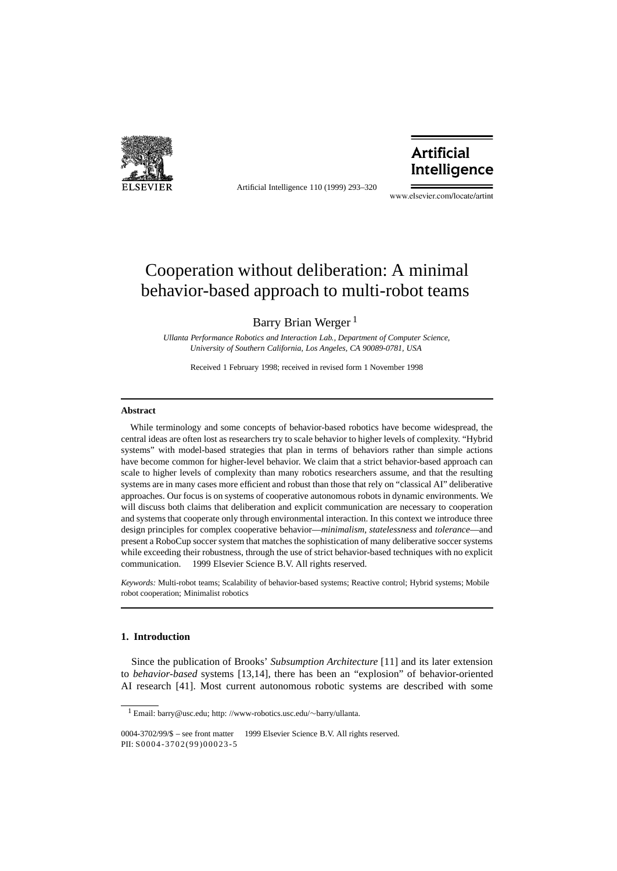

Artificial Intelligence 110 (1999) 293–320



www.elsevier.com/locate/artint

# Cooperation without deliberation: A minimal behavior-based approach to multi-robot teams

Barry Brian Werger<sup>1</sup>

*Ullanta Performance Robotics and Interaction Lab., Department of Computer Science, University of Southern California, Los Angeles, CA 90089-0781, USA*

Received 1 February 1998; received in revised form 1 November 1998

## **Abstract**

While terminology and some concepts of behavior-based robotics have become widespread, the central ideas are often lost as researchers try to scale behavior to higher levels of complexity. "Hybrid systems" with model-based strategies that plan in terms of behaviors rather than simple actions have become common for higher-level behavior. We claim that a strict behavior-based approach can scale to higher levels of complexity than many robotics researchers assume, and that the resulting systems are in many cases more efficient and robust than those that rely on "classical AI" deliberative approaches. Our focus is on systems of cooperative autonomous robots in dynamic environments. We will discuss both claims that deliberation and explicit communication are necessary to cooperation and systems that cooperate only through environmental interaction. In this context we introduce three design principles for complex cooperative behavior—*minimalism, statelessness* and *tolerance*—and present a RoboCup soccer system that matches the sophistication of many deliberative soccer systems while exceeding their robustness, through the use of strict behavior-based techniques with no explicit communication.  $© 1999$  Elsevier Science B.V. All rights reserved.

*Keywords:* Multi-robot teams; Scalability of behavior-based systems; Reactive control; Hybrid systems; Mobile robot cooperation; Minimalist robotics

## **1. Introduction**

Since the publication of Brooks' *Subsumption Architecture* [11] and its later extension to *behavior-based* systems [13,14], there has been an "explosion" of behavior-oriented AI research [41]. Most current autonomous robotic systems are described with some

<sup>1</sup> Email: barry@usc.edu; http: //www-robotics.usc.edu/∼barry/ullanta.

<sup>0004-3702/99/\$ –</sup> see front matter © 1999 Elsevier Science B.V. All rights reserved. PII: S0004-3702(99)00023-5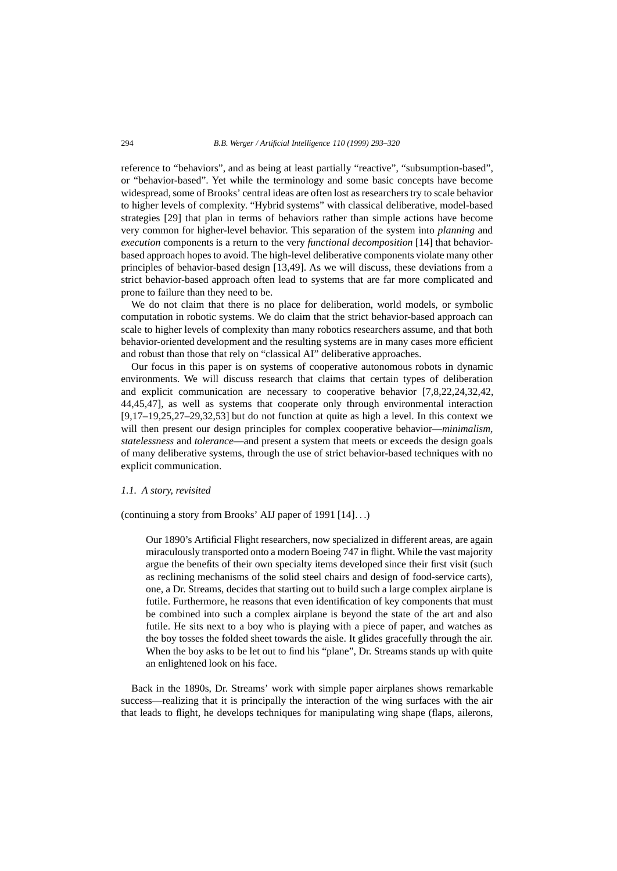reference to "behaviors", and as being at least partially "reactive", "subsumption-based", or "behavior-based". Yet while the terminology and some basic concepts have become widespread, some of Brooks' central ideas are often lost as researchers try to scale behavior to higher levels of complexity. "Hybrid systems" with classical deliberative, model-based strategies [29] that plan in terms of behaviors rather than simple actions have become very common for higher-level behavior. This separation of the system into *planning* and *execution* components is a return to the very *functional decomposition* [14] that behaviorbased approach hopes to avoid. The high-level deliberative components violate many other principles of behavior-based design [13,49]. As we will discuss, these deviations from a strict behavior-based approach often lead to systems that are far more complicated and prone to failure than they need to be.

We do not claim that there is no place for deliberation, world models, or symbolic computation in robotic systems. We do claim that the strict behavior-based approach can scale to higher levels of complexity than many robotics researchers assume, and that both behavior-oriented development and the resulting systems are in many cases more efficient and robust than those that rely on "classical AI" deliberative approaches.

Our focus in this paper is on systems of cooperative autonomous robots in dynamic environments. We will discuss research that claims that certain types of deliberation and explicit communication are necessary to cooperative behavior [7,8,22,24,32,42, 44,45,47], as well as systems that cooperate only through environmental interaction [9,17–19,25,27–29,32,53] but do not function at quite as high a level. In this context we will then present our design principles for complex cooperative behavior—*minimalism, statelessness* and *tolerance*—and present a system that meets or exceeds the design goals of many deliberative systems, through the use of strict behavior-based techniques with no explicit communication.

#### *1.1. A story, revisited*

(continuing a story from Brooks' AIJ paper of 1991 [14]*...*)

Our 1890's Artificial Flight researchers, now specialized in different areas, are again miraculously transported onto a modern Boeing 747 in flight. While the vast majority argue the benefits of their own specialty items developed since their first visit (such as reclining mechanisms of the solid steel chairs and design of food-service carts), one, a Dr. Streams, decides that starting out to build such a large complex airplane is futile. Furthermore, he reasons that even identification of key components that must be combined into such a complex airplane is beyond the state of the art and also futile. He sits next to a boy who is playing with a piece of paper, and watches as the boy tosses the folded sheet towards the aisle. It glides gracefully through the air. When the boy asks to be let out to find his "plane", Dr. Streams stands up with quite an enlightened look on his face.

Back in the 1890s, Dr. Streams' work with simple paper airplanes shows remarkable success—realizing that it is principally the interaction of the wing surfaces with the air that leads to flight, he develops techniques for manipulating wing shape (flaps, ailerons,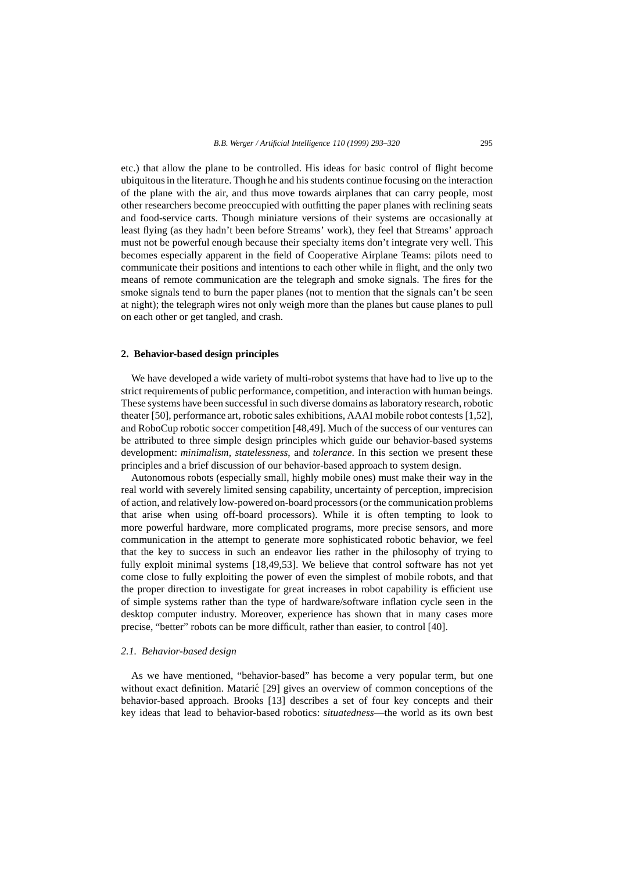etc.) that allow the plane to be controlled. His ideas for basic control of flight become ubiquitous in the literature. Though he and his students continue focusing on the interaction of the plane with the air, and thus move towards airplanes that can carry people, most other researchers become preoccupied with outfitting the paper planes with reclining seats and food-service carts. Though miniature versions of their systems are occasionally at least flying (as they hadn't been before Streams' work), they feel that Streams' approach must not be powerful enough because their specialty items don't integrate very well. This becomes especially apparent in the field of Cooperative Airplane Teams: pilots need to communicate their positions and intentions to each other while in flight, and the only two means of remote communication are the telegraph and smoke signals. The fires for the smoke signals tend to burn the paper planes (not to mention that the signals can't be seen at night); the telegraph wires not only weigh more than the planes but cause planes to pull on each other or get tangled, and crash.

## **2. Behavior-based design principles**

We have developed a wide variety of multi-robot systems that have had to live up to the strict requirements of public performance, competition, and interaction with human beings. These systems have been successful in such diverse domains as laboratory research, robotic theater [50], performance art, robotic sales exhibitions, AAAI mobile robot contests [1,52], and RoboCup robotic soccer competition [48,49]. Much of the success of our ventures can be attributed to three simple design principles which guide our behavior-based systems development: *minimalism, statelessness*, and *tolerance*. In this section we present these principles and a brief discussion of our behavior-based approach to system design.

Autonomous robots (especially small, highly mobile ones) must make their way in the real world with severely limited sensing capability, uncertainty of perception, imprecision of action, and relatively low-powered on-board processors (or the communication problems that arise when using off-board processors). While it is often tempting to look to more powerful hardware, more complicated programs, more precise sensors, and more communication in the attempt to generate more sophisticated robotic behavior, we feel that the key to success in such an endeavor lies rather in the philosophy of trying to fully exploit minimal systems [18,49,53]. We believe that control software has not yet come close to fully exploiting the power of even the simplest of mobile robots, and that the proper direction to investigate for great increases in robot capability is efficient use of simple systems rather than the type of hardware/software inflation cycle seen in the desktop computer industry. Moreover, experience has shown that in many cases more precise, "better" robots can be more difficult, rather than easier, to control [40].

## *2.1. Behavior-based design*

As we have mentioned, "behavior-based" has become a very popular term, but one without exact definition. Mataric [29] gives an overview of common conceptions of the behavior-based approach. Brooks [13] describes a set of four key concepts and their key ideas that lead to behavior-based robotics: *situatedness*—the world as its own best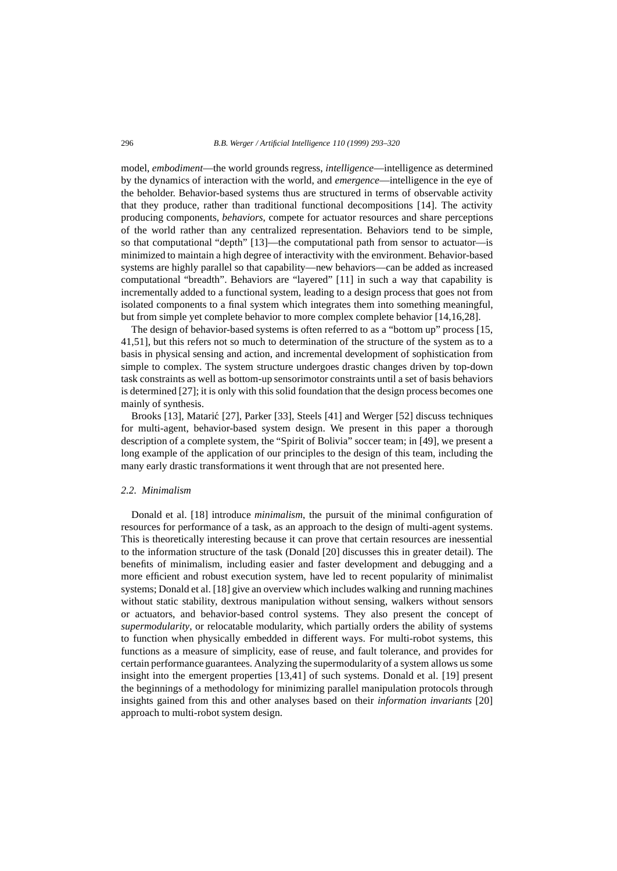model, *embodiment*—the world grounds regress, *intelligence*—intelligence as determined by the dynamics of interaction with the world, and *emergence*—intelligence in the eye of the beholder. Behavior-based systems thus are structured in terms of observable activity that they produce, rather than traditional functional decompositions [14]. The activity producing components, *behaviors*, compete for actuator resources and share perceptions of the world rather than any centralized representation. Behaviors tend to be simple, so that computational "depth" [13]—the computational path from sensor to actuator—is minimized to maintain a high degree of interactivity with the environment. Behavior-based systems are highly parallel so that capability—new behaviors—can be added as increased computational "breadth". Behaviors are "layered" [11] in such a way that capability is incrementally added to a functional system, leading to a design process that goes not from isolated components to a final system which integrates them into something meaningful, but from simple yet complete behavior to more complex complete behavior [14,16,28].

The design of behavior-based systems is often referred to as a "bottom up" process [15, 41,51], but this refers not so much to determination of the structure of the system as to a basis in physical sensing and action, and incremental development of sophistication from simple to complex. The system structure undergoes drastic changes driven by top-down task constraints as well as bottom-up sensorimotor constraints until a set of basis behaviors is determined [27]; it is only with this solid foundation that the design process becomes one mainly of synthesis.

Brooks [13], Mataric [27], Parker [33], Steels [41] and Werger [52] discuss techniques ´ for multi-agent, behavior-based system design. We present in this paper a thorough description of a complete system, the "Spirit of Bolivia" soccer team; in [49], we present a long example of the application of our principles to the design of this team, including the many early drastic transformations it went through that are not presented here.

## *2.2. Minimalism*

Donald et al. [18] introduce *minimalism*, the pursuit of the minimal configuration of resources for performance of a task, as an approach to the design of multi-agent systems. This is theoretically interesting because it can prove that certain resources are inessential to the information structure of the task (Donald [20] discusses this in greater detail). The benefits of minimalism, including easier and faster development and debugging and a more efficient and robust execution system, have led to recent popularity of minimalist systems; Donald et al. [18] give an overview which includes walking and running machines without static stability, dextrous manipulation without sensing, walkers without sensors or actuators, and behavior-based control systems. They also present the concept of *supermodularity*, or relocatable modularity, which partially orders the ability of systems to function when physically embedded in different ways. For multi-robot systems, this functions as a measure of simplicity, ease of reuse, and fault tolerance, and provides for certain performance guarantees. Analyzing the supermodularity of a system allows us some insight into the emergent properties [13,41] of such systems. Donald et al. [19] present the beginnings of a methodology for minimizing parallel manipulation protocols through insights gained from this and other analyses based on their *information invariants* [20] approach to multi-robot system design.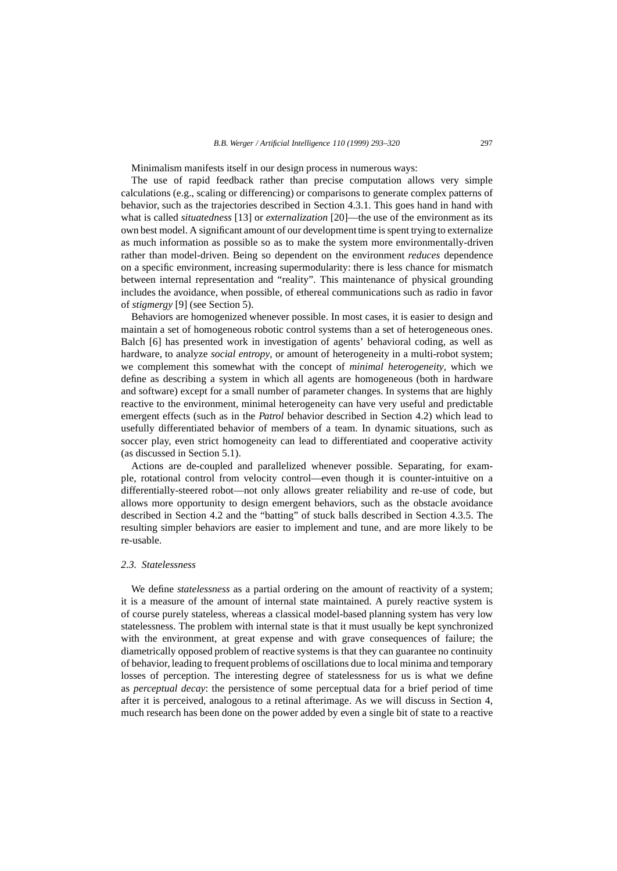Minimalism manifests itself in our design process in numerous ways:

The use of rapid feedback rather than precise computation allows very simple calculations (e.g., scaling or differencing) or comparisons to generate complex patterns of behavior, such as the trajectories described in Section 4.3.1. This goes hand in hand with what is called *situatedness* [13] or *externalization* [20]—the use of the environment as its own best model. A significant amount of our development time is spent trying to externalize as much information as possible so as to make the system more environmentally-driven rather than model-driven. Being so dependent on the environment *reduces* dependence on a specific environment, increasing supermodularity: there is less chance for mismatch between internal representation and "reality". This maintenance of physical grounding includes the avoidance, when possible, of ethereal communications such as radio in favor of *stigmergy* [9] (see Section 5).

Behaviors are homogenized whenever possible. In most cases, it is easier to design and maintain a set of homogeneous robotic control systems than a set of heterogeneous ones. Balch [6] has presented work in investigation of agents' behavioral coding, as well as hardware, to analyze *social entropy*, or amount of heterogeneity in a multi-robot system; we complement this somewhat with the concept of *minimal heterogeneity*, which we define as describing a system in which all agents are homogeneous (both in hardware and software) except for a small number of parameter changes. In systems that are highly reactive to the environment, minimal heterogeneity can have very useful and predictable emergent effects (such as in the *Patrol* behavior described in Section 4.2) which lead to usefully differentiated behavior of members of a team. In dynamic situations, such as soccer play, even strict homogeneity can lead to differentiated and cooperative activity (as discussed in Section 5.1).

Actions are de-coupled and parallelized whenever possible. Separating, for example, rotational control from velocity control—even though it is counter-intuitive on a differentially-steered robot—not only allows greater reliability and re-use of code, but allows more opportunity to design emergent behaviors, such as the obstacle avoidance described in Section 4.2 and the "batting" of stuck balls described in Section 4.3.5. The resulting simpler behaviors are easier to implement and tune, and are more likely to be re-usable.

## *2.3. Statelessness*

We define *statelessness* as a partial ordering on the amount of reactivity of a system; it is a measure of the amount of internal state maintained. A purely reactive system is of course purely stateless, whereas a classical model-based planning system has very low statelessness. The problem with internal state is that it must usually be kept synchronized with the environment, at great expense and with grave consequences of failure; the diametrically opposed problem of reactive systems is that they can guarantee no continuity of behavior, leading to frequent problems of oscillations due to local minima and temporary losses of perception. The interesting degree of statelessness for us is what we define as *perceptual decay*: the persistence of some perceptual data for a brief period of time after it is perceived, analogous to a retinal afterimage. As we will discuss in Section 4, much research has been done on the power added by even a single bit of state to a reactive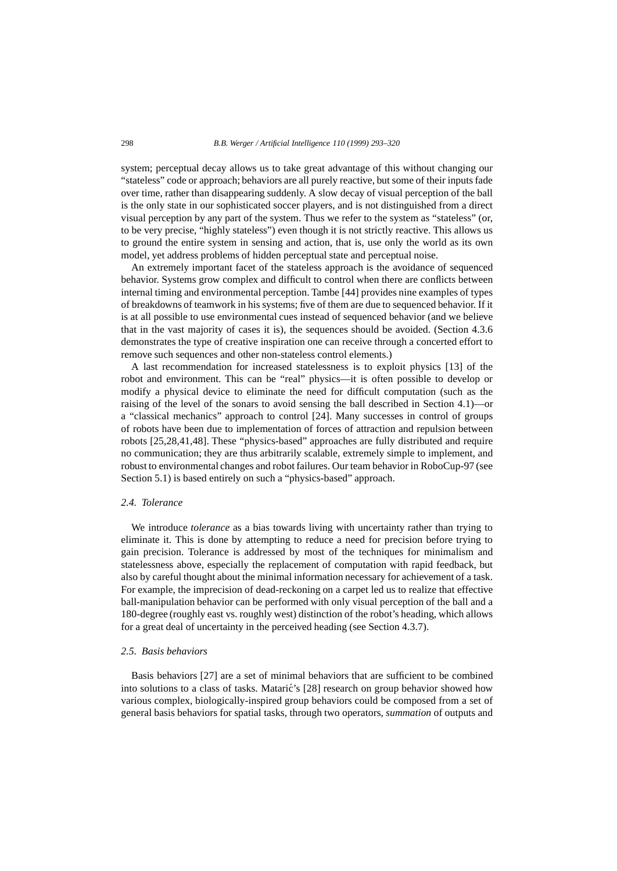system; perceptual decay allows us to take great advantage of this without changing our "stateless" code or approach; behaviors are all purely reactive, but some of their inputs fade over time, rather than disappearing suddenly. A slow decay of visual perception of the ball is the only state in our sophisticated soccer players, and is not distinguished from a direct visual perception by any part of the system. Thus we refer to the system as "stateless" (or, to be very precise, "highly stateless") even though it is not strictly reactive. This allows us to ground the entire system in sensing and action, that is, use only the world as its own model, yet address problems of hidden perceptual state and perceptual noise.

An extremely important facet of the stateless approach is the avoidance of sequenced behavior. Systems grow complex and difficult to control when there are conflicts between internal timing and environmental perception. Tambe [44] provides nine examples of types of breakdowns of teamwork in his systems; five of them are due to sequenced behavior. If it is at all possible to use environmental cues instead of sequenced behavior (and we believe that in the vast majority of cases it is), the sequences should be avoided. (Section 4.3.6 demonstrates the type of creative inspiration one can receive through a concerted effort to remove such sequences and other non-stateless control elements.)

A last recommendation for increased statelessness is to exploit physics [13] of the robot and environment. This can be "real" physics—it is often possible to develop or modify a physical device to eliminate the need for difficult computation (such as the raising of the level of the sonars to avoid sensing the ball described in Section 4.1)—or a "classical mechanics" approach to control [24]. Many successes in control of groups of robots have been due to implementation of forces of attraction and repulsion between robots [25,28,41,48]. These "physics-based" approaches are fully distributed and require no communication; they are thus arbitrarily scalable, extremely simple to implement, and robust to environmental changes and robot failures. Our team behavior in RoboCup-97 (see Section 5.1) is based entirely on such a "physics-based" approach.

## *2.4. Tolerance*

We introduce *tolerance* as a bias towards living with uncertainty rather than trying to eliminate it. This is done by attempting to reduce a need for precision before trying to gain precision. Tolerance is addressed by most of the techniques for minimalism and statelessness above, especially the replacement of computation with rapid feedback, but also by careful thought about the minimal information necessary for achievement of a task. For example, the imprecision of dead-reckoning on a carpet led us to realize that effective ball-manipulation behavior can be performed with only visual perception of the ball and a 180-degree (roughly east vs. roughly west) distinction of the robot's heading, which allows for a great deal of uncertainty in the perceived heading (see Section 4.3.7).

## *2.5. Basis behaviors*

Basis behaviors [27] are a set of minimal behaviors that are sufficient to be combined into solutions to a class of tasks. Mataric's [28] research on group behavior showed how ´ various complex, biologically-inspired group behaviors could be composed from a set of general basis behaviors for spatial tasks, through two operators, *summation* of outputs and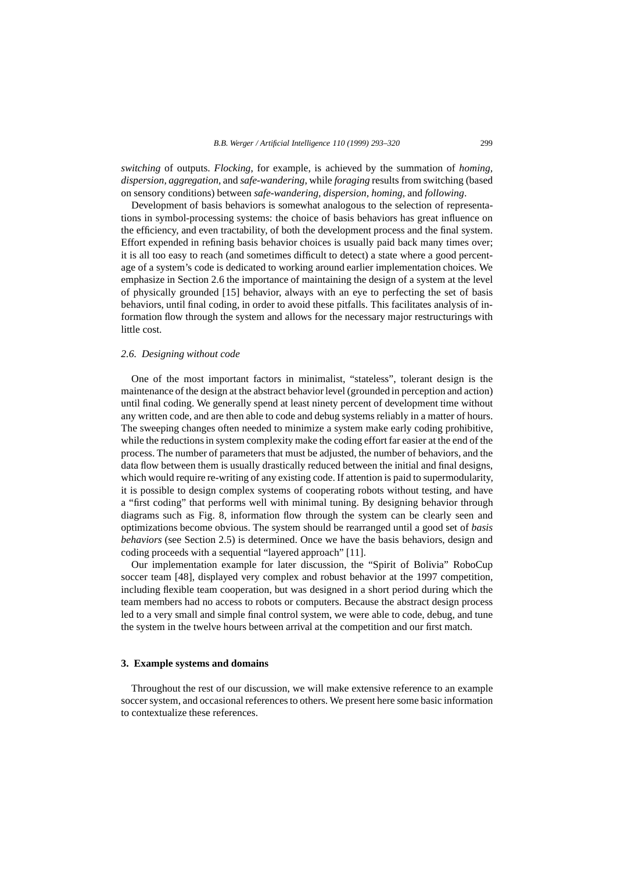*switching* of outputs. *Flocking*, for example, is achieved by the summation of *homing, dispersion, aggregation,* and *safe-wandering*, while *foraging* results from switching (based on sensory conditions) between *safe-wandering, dispersion, homing,* and *following*.

Development of basis behaviors is somewhat analogous to the selection of representations in symbol-processing systems: the choice of basis behaviors has great influence on the efficiency, and even tractability, of both the development process and the final system. Effort expended in refining basis behavior choices is usually paid back many times over; it is all too easy to reach (and sometimes difficult to detect) a state where a good percentage of a system's code is dedicated to working around earlier implementation choices. We emphasize in Section 2.6 the importance of maintaining the design of a system at the level of physically grounded [15] behavior, always with an eye to perfecting the set of basis behaviors, until final coding, in order to avoid these pitfalls. This facilitates analysis of information flow through the system and allows for the necessary major restructurings with little cost.

## *2.6. Designing without code*

One of the most important factors in minimalist, "stateless", tolerant design is the maintenance of the design at the abstract behavior level (grounded in perception and action) until final coding. We generally spend at least ninety percent of development time without any written code, and are then able to code and debug systems reliably in a matter of hours. The sweeping changes often needed to minimize a system make early coding prohibitive, while the reductions in system complexity make the coding effort far easier at the end of the process. The number of parameters that must be adjusted, the number of behaviors, and the data flow between them is usually drastically reduced between the initial and final designs, which would require re-writing of any existing code. If attention is paid to supermodularity, it is possible to design complex systems of cooperating robots without testing, and have a "first coding" that performs well with minimal tuning. By designing behavior through diagrams such as Fig. 8, information flow through the system can be clearly seen and optimizations become obvious. The system should be rearranged until a good set of *basis behaviors* (see Section 2.5) is determined. Once we have the basis behaviors, design and coding proceeds with a sequential "layered approach" [11].

Our implementation example for later discussion, the "Spirit of Bolivia" RoboCup soccer team [48], displayed very complex and robust behavior at the 1997 competition, including flexible team cooperation, but was designed in a short period during which the team members had no access to robots or computers. Because the abstract design process led to a very small and simple final control system, we were able to code, debug, and tune the system in the twelve hours between arrival at the competition and our first match.

#### **3. Example systems and domains**

Throughout the rest of our discussion, we will make extensive reference to an example soccer system, and occasional references to others. We present here some basic information to contextualize these references.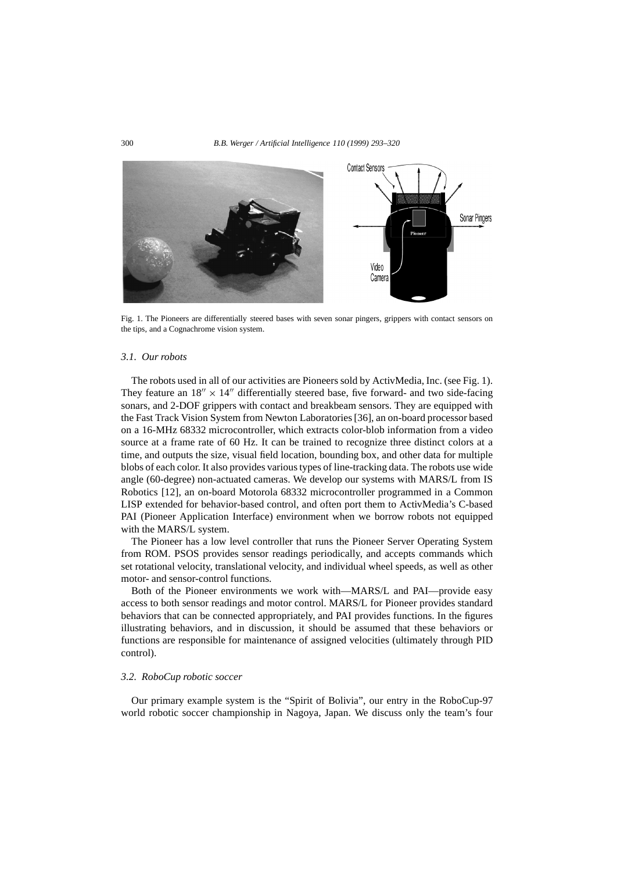

Fig. 1. The Pioneers are differentially steered bases with seven sonar pingers, grippers with contact sensors on the tips, and a Cognachrome vision system.

#### *3.1. Our robots*

The robots used in all of our activities are Pioneers sold by ActivMedia, Inc. (see Fig. 1). They feature an  $18'' \times 14''$  differentially steered base, five forward- and two side-facing sonars, and 2-DOF grippers with contact and breakbeam sensors. They are equipped with the Fast Track Vision System from Newton Laboratories [36], an on-board processor based on a 16-MHz 68332 microcontroller, which extracts color-blob information from a video source at a frame rate of 60 Hz. It can be trained to recognize three distinct colors at a time, and outputs the size, visual field location, bounding box, and other data for multiple blobs of each color. It also provides various types of line-tracking data. The robots use wide angle (60-degree) non-actuated cameras. We develop our systems with MARS/L from IS Robotics [12], an on-board Motorola 68332 microcontroller programmed in a Common LISP extended for behavior-based control, and often port them to ActivMedia's C-based PAI (Pioneer Application Interface) environment when we borrow robots not equipped with the MARS/L system.

The Pioneer has a low level controller that runs the Pioneer Server Operating System from ROM. PSOS provides sensor readings periodically, and accepts commands which set rotational velocity, translational velocity, and individual wheel speeds, as well as other motor- and sensor-control functions.

Both of the Pioneer environments we work with—MARS/L and PAI—provide easy access to both sensor readings and motor control. MARS/L for Pioneer provides standard behaviors that can be connected appropriately, and PAI provides functions. In the figures illustrating behaviors, and in discussion, it should be assumed that these behaviors or functions are responsible for maintenance of assigned velocities (ultimately through PID control).

## *3.2. RoboCup robotic soccer*

Our primary example system is the "Spirit of Bolivia", our entry in the RoboCup-97 world robotic soccer championship in Nagoya, Japan. We discuss only the team's four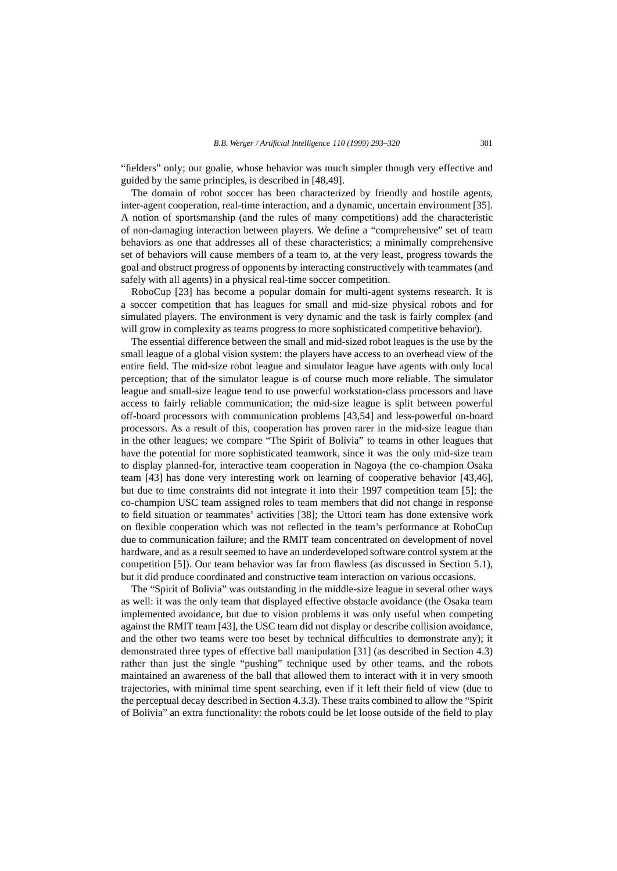"fielders" only; our goalie, whose behavior was much simpler though very effective and guided by the same principles, is described in [48,49].

The domain of robot soccer has been characterized by friendly and hostile agents, inter-agent cooperation, real-time interaction, and a dynamic, uncertain environment [35]. A notion of sportsmanship (and the rules of many competitions) add the characteristic of non-damaging interaction between players. We define a "comprehensive" set of team behaviors as one that addresses all of these characteristics; a minimally comprehensive set of behaviors will cause members of a team to, at the very least, progress towards the goal and obstruct progress of opponents by interacting constructively with teammates (and safely with all agents) in a physical real-time soccer competition.

RoboCup [23] has become a popular domain for multi-agent systems research. It is a soccer competition that has leagues for small and mid-size physical robots and for simulated players. The environment is very dynamic and the task is fairly complex (and will grow in complexity as teams progress to more sophisticated competitive behavior).

The essential difference between the small and mid-sized robot leagues is the use by the small league of a global vision system: the players have access to an overhead view of the entire field. The mid-size robot league and simulator league have agents with only local perception; that of the simulator league is of course much more reliable. The simulator league and small-size league tend to use powerful workstation-class processors and have access to fairly reliable communication; the mid-size league is split between powerful off-board processors with communication problems [43,54] and less-powerful on-board processors. As a result of this, cooperation has proven rarer in the mid-size league than in the other leagues; we compare "The Spirit of Bolivia" to teams in other leagues that have the potential for more sophisticated teamwork, since it was the only mid-size team to display planned-for, interactive team cooperation in Nagoya (the co-champion Osaka team [43] has done very interesting work on learning of cooperative behavior [43,46], but due to time constraints did not integrate it into their 1997 competition team [5]; the co-champion USC team assigned roles to team members that did not change in response to field situation or teammates' activities [38]; the Uttori team has done extensive work on flexible cooperation which was not reflected in the team's performance at RoboCup due to communication failure; and the RMIT team concentrated on development of novel hardware, and as a result seemed to have an underdeveloped software control system at the competition [5]). Our team behavior was far from flawless (as discussed in Section 5.1), but it did produce coordinated and constructive team interaction on various occasions.

The "Spirit of Bolivia" was outstanding in the middle-size league in several other ways as well: it was the only team that displayed effective obstacle avoidance (the Osaka team implemented avoidance, but due to vision problems it was only useful when competing against the RMIT team [43], the USC team did not display or describe collision avoidance, and the other two teams were too beset by technical difficulties to demonstrate any); it demonstrated three types of effective ball manipulation [31] (as described in Section 4.3) rather than just the single "pushing" technique used by other teams, and the robots maintained an awareness of the ball that allowed them to interact with it in very smooth trajectories, with minimal time spent searching, even if it left their field of view (due to the perceptual decay described in Section 4.3.3). These traits combined to allow the "Spirit of Bolivia" an extra functionality: the robots could be let loose outside of the field to play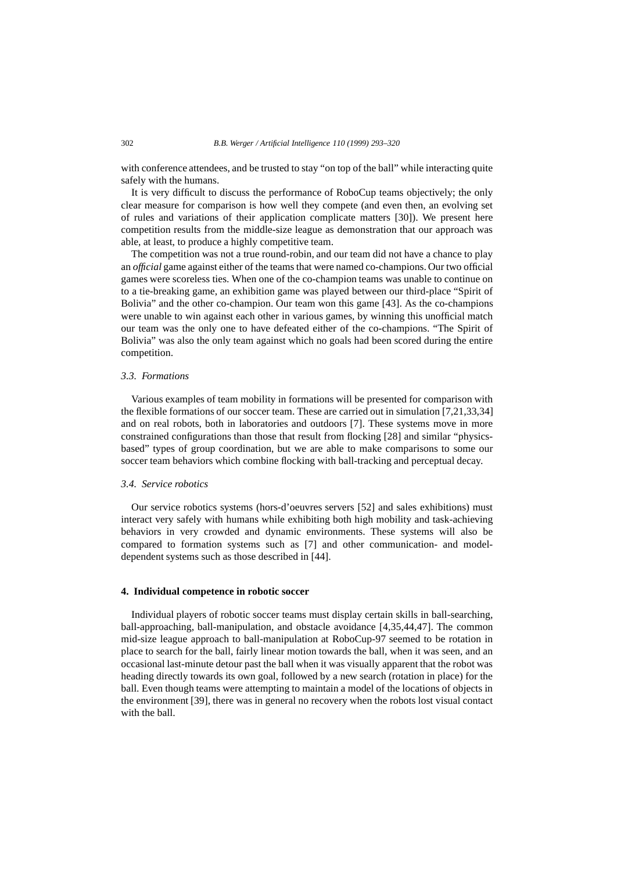with conference attendees, and be trusted to stay "on top of the ball" while interacting quite safely with the humans.

It is very difficult to discuss the performance of RoboCup teams objectively; the only clear measure for comparison is how well they compete (and even then, an evolving set of rules and variations of their application complicate matters [30]). We present here competition results from the middle-size league as demonstration that our approach was able, at least, to produce a highly competitive team.

The competition was not a true round-robin, and our team did not have a chance to play an *official* game against either of the teams that were named co-champions. Our two official games were scoreless ties. When one of the co-champion teams was unable to continue on to a tie-breaking game, an exhibition game was played between our third-place "Spirit of Bolivia" and the other co-champion. Our team won this game [43]. As the co-champions were unable to win against each other in various games, by winning this unofficial match our team was the only one to have defeated either of the co-champions. "The Spirit of Bolivia" was also the only team against which no goals had been scored during the entire competition.

## *3.3. Formations*

Various examples of team mobility in formations will be presented for comparison with the flexible formations of our soccer team. These are carried out in simulation [7,21,33,34] and on real robots, both in laboratories and outdoors [7]. These systems move in more constrained configurations than those that result from flocking [28] and similar "physicsbased" types of group coordination, but we are able to make comparisons to some our soccer team behaviors which combine flocking with ball-tracking and perceptual decay.

## *3.4. Service robotics*

Our service robotics systems (hors-d'oeuvres servers [52] and sales exhibitions) must interact very safely with humans while exhibiting both high mobility and task-achieving behaviors in very crowded and dynamic environments. These systems will also be compared to formation systems such as [7] and other communication- and modeldependent systems such as those described in [44].

## **4. Individual competence in robotic soccer**

Individual players of robotic soccer teams must display certain skills in ball-searching, ball-approaching, ball-manipulation, and obstacle avoidance [4,35,44,47]. The common mid-size league approach to ball-manipulation at RoboCup-97 seemed to be rotation in place to search for the ball, fairly linear motion towards the ball, when it was seen, and an occasional last-minute detour past the ball when it was visually apparent that the robot was heading directly towards its own goal, followed by a new search (rotation in place) for the ball. Even though teams were attempting to maintain a model of the locations of objects in the environment [39], there was in general no recovery when the robots lost visual contact with the ball.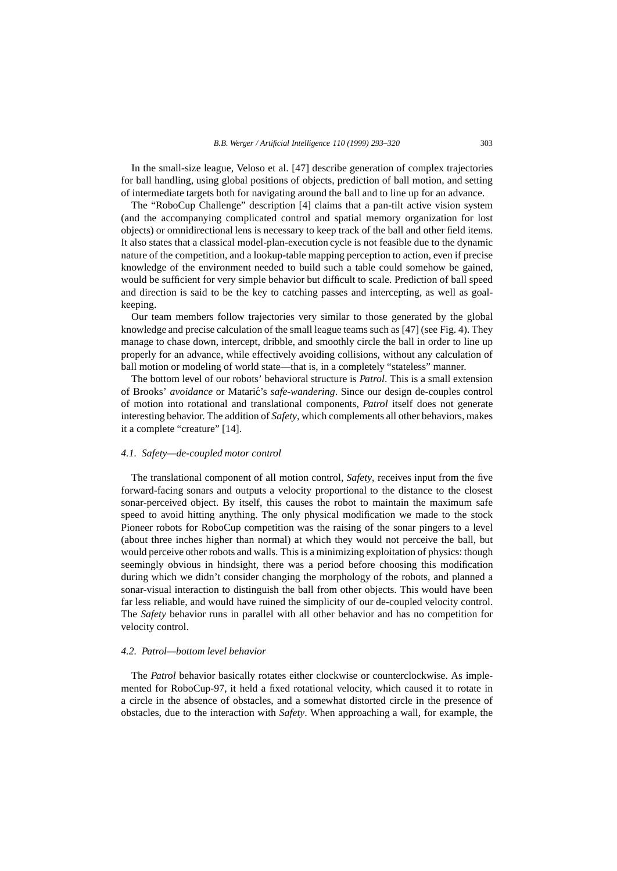In the small-size league, Veloso et al. [47] describe generation of complex trajectories for ball handling, using global positions of objects, prediction of ball motion, and setting of intermediate targets both for navigating around the ball and to line up for an advance.

The "RoboCup Challenge" description [4] claims that a pan-tilt active vision system (and the accompanying complicated control and spatial memory organization for lost objects) or omnidirectional lens is necessary to keep track of the ball and other field items. It also states that a classical model-plan-execution cycle is not feasible due to the dynamic nature of the competition, and a lookup-table mapping perception to action, even if precise knowledge of the environment needed to build such a table could somehow be gained, would be sufficient for very simple behavior but difficult to scale. Prediction of ball speed and direction is said to be the key to catching passes and intercepting, as well as goalkeeping.

Our team members follow trajectories very similar to those generated by the global knowledge and precise calculation of the small league teams such as [47] (see Fig. 4). They manage to chase down, intercept, dribble, and smoothly circle the ball in order to line up properly for an advance, while effectively avoiding collisions, without any calculation of ball motion or modeling of world state—that is, in a completely "stateless" manner.

The bottom level of our robots' behavioral structure is *Patrol*. This is a small extension of Brooks' *avoidance* or Mataric's *safe-wandering*. Since our design de-couples control of motion into rotational and translational components, *Patrol* itself does not generate interesting behavior. The addition of *Safety*, which complements all other behaviors, makes it a complete "creature" [14].

## *4.1. Safety—de-coupled motor control*

The translational component of all motion control, *Safety*, receives input from the five forward-facing sonars and outputs a velocity proportional to the distance to the closest sonar-perceived object. By itself, this causes the robot to maintain the maximum safe speed to avoid hitting anything. The only physical modification we made to the stock Pioneer robots for RoboCup competition was the raising of the sonar pingers to a level (about three inches higher than normal) at which they would not perceive the ball, but would perceive other robots and walls. This is a minimizing exploitation of physics: though seemingly obvious in hindsight, there was a period before choosing this modification during which we didn't consider changing the morphology of the robots, and planned a sonar-visual interaction to distinguish the ball from other objects. This would have been far less reliable, and would have ruined the simplicity of our de-coupled velocity control. The *Safety* behavior runs in parallel with all other behavior and has no competition for velocity control.

## *4.2. Patrol—bottom level behavior*

The *Patrol* behavior basically rotates either clockwise or counterclockwise. As implemented for RoboCup-97, it held a fixed rotational velocity, which caused it to rotate in a circle in the absence of obstacles, and a somewhat distorted circle in the presence of obstacles, due to the interaction with *Safety*. When approaching a wall, for example, the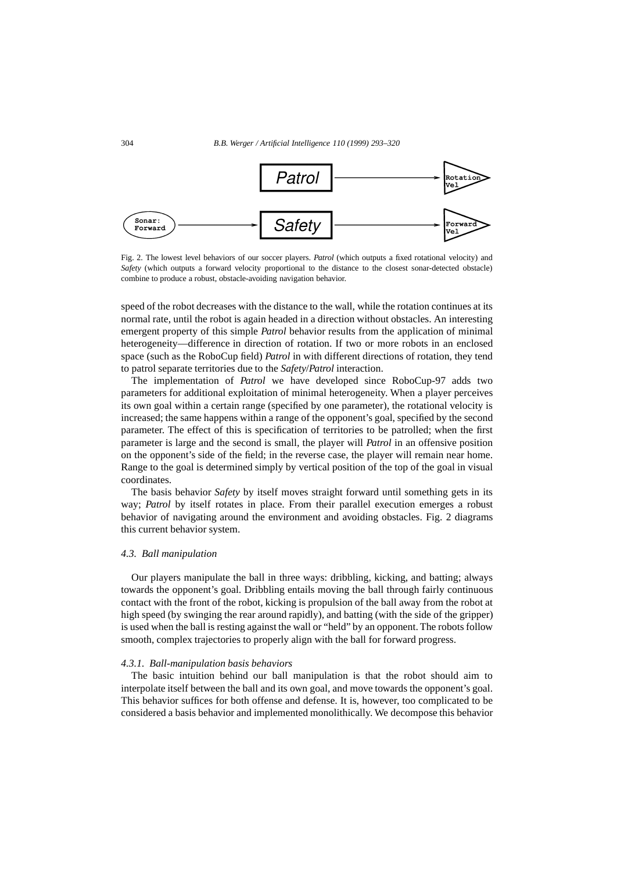

Fig. 2. The lowest level behaviors of our soccer players. *Patrol* (which outputs a fixed rotational velocity) and *Safety* (which outputs a forward velocity proportional to the distance to the closest sonar-detected obstacle) combine to produce a robust, obstacle-avoiding navigation behavior.

speed of the robot decreases with the distance to the wall, while the rotation continues at its normal rate, until the robot is again headed in a direction without obstacles. An interesting emergent property of this simple *Patrol* behavior results from the application of minimal heterogeneity—difference in direction of rotation. If two or more robots in an enclosed space (such as the RoboCup field) *Patrol* in with different directions of rotation, they tend to patrol separate territories due to the *Safety*/*Patrol* interaction.

The implementation of *Patrol* we have developed since RoboCup-97 adds two parameters for additional exploitation of minimal heterogeneity. When a player perceives its own goal within a certain range (specified by one parameter), the rotational velocity is increased; the same happens within a range of the opponent's goal, specified by the second parameter. The effect of this is specification of territories to be patrolled; when the first parameter is large and the second is small, the player will *Patrol* in an offensive position on the opponent's side of the field; in the reverse case, the player will remain near home. Range to the goal is determined simply by vertical position of the top of the goal in visual coordinates.

The basis behavior *Safety* by itself moves straight forward until something gets in its way; *Patrol* by itself rotates in place. From their parallel execution emerges a robust behavior of navigating around the environment and avoiding obstacles. Fig. 2 diagrams this current behavior system.

## *4.3. Ball manipulation*

Our players manipulate the ball in three ways: dribbling, kicking, and batting; always towards the opponent's goal. Dribbling entails moving the ball through fairly continuous contact with the front of the robot, kicking is propulsion of the ball away from the robot at high speed (by swinging the rear around rapidly), and batting (with the side of the gripper) is used when the ball is resting against the wall or "held" by an opponent. The robots follow smooth, complex trajectories to properly align with the ball for forward progress.

#### *4.3.1. Ball-manipulation basis behaviors*

The basic intuition behind our ball manipulation is that the robot should aim to interpolate itself between the ball and its own goal, and move towards the opponent's goal. This behavior suffices for both offense and defense. It is, however, too complicated to be considered a basis behavior and implemented monolithically. We decompose this behavior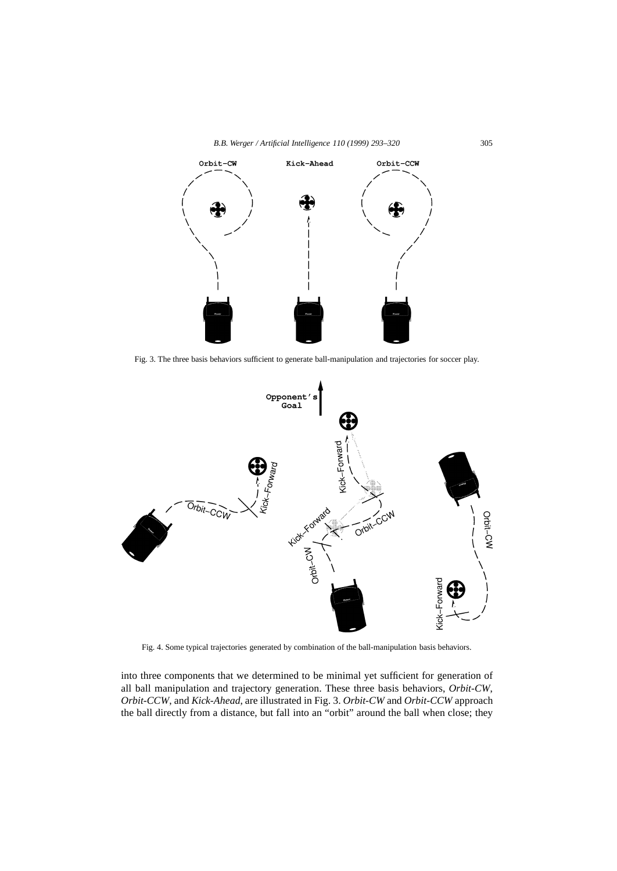

Fig. 3. The three basis behaviors sufficient to generate ball-manipulation and trajectories for soccer play.



Fig. 4. Some typical trajectories generated by combination of the ball-manipulation basis behaviors.

into three components that we determined to be minimal yet sufficient for generation of all ball manipulation and trajectory generation. These three basis behaviors, *Orbit-CW*, *Orbit-CCW*, and *Kick-Ahead*, are illustrated in Fig. 3. *Orbit-CW* and *Orbit-CCW* approach the ball directly from a distance, but fall into an "orbit" around the ball when close; they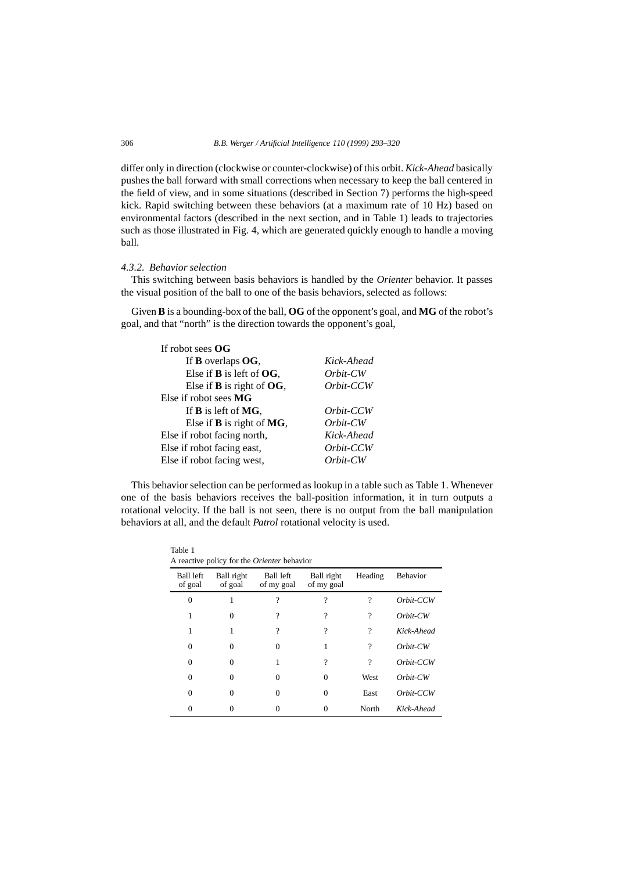differ only in direction (clockwise or counter-clockwise) of this orbit. *Kick-Ahead* basically pushes the ball forward with small corrections when necessary to keep the ball centered in the field of view, and in some situations (described in Section 7) performs the high-speed kick. Rapid switching between these behaviors (at a maximum rate of 10 Hz) based on environmental factors (described in the next section, and in Table 1) leads to trajectories such as those illustrated in Fig. 4, which are generated quickly enough to handle a moving ball.

## *4.3.2. Behavior selection*

This switching between basis behaviors is handled by the *Orienter* behavior. It passes the visual position of the ball to one of the basis behaviors, selected as follows:

Given **B** is a bounding-box of the ball, **OG** of the opponent's goal, and **MG** of the robot's goal, and that "north" is the direction towards the opponent's goal,

| If robot sees OG                        |            |
|-----------------------------------------|------------|
| If $B$ overlaps $OG$ ,                  | Kick-Ahead |
| Else if $\bf{B}$ is left of $\bf{OG}$ , | Orbit-CW   |
| Else if $B$ is right of $OG$ ,          | Orbit-CCW  |
| Else if robot sees MG                   |            |
| If $\bf{B}$ is left of $\bf{MG}$ ,      | Orbit-CCW  |
| Else if <b>B</b> is right of MG,        | $Orbit-CW$ |
| Else if robot facing north,             | Kick-Ahead |
| Else if robot facing east,              | Orbit-CCW  |
| Else if robot facing west,              | Orbit-CW   |

This behavior selection can be performed as lookup in a table such as Table 1. Whenever one of the basis behaviors receives the ball-position information, it in turn outputs a rotational velocity. If the ball is not seen, there is no output from the ball manipulation behaviors at all, and the default *Patrol* rotational velocity is used.

Table 1 A reactive policy for the *Orienter* behavior

| <b>Ball</b> left<br>of goal | Ball right<br>of goal | Ball left<br>of my goal | Ball right<br>of my goal | Heading | Behavior   |
|-----------------------------|-----------------------|-------------------------|--------------------------|---------|------------|
| $\Omega$                    |                       | ?                       | ?                        | ?       | Orbit-CCW  |
|                             | $\Omega$              | ?                       | $\gamma$                 | ?       | $Orbit-CW$ |
| 1                           | 1                     | ?                       | $\gamma$                 | ?       | Kick-Ahead |
| $\Omega$                    | $\Omega$              | 0                       | 1                        | ?       | $Orbit-CW$ |
| $\Omega$                    | $\Omega$              |                         | ?                        | ?       | Orbit-CCW  |
| $\Omega$                    | 0                     | 0                       | $\Omega$                 | West    | $Orbit-CW$ |
| $\Omega$                    | 0                     | 0                       | $\Omega$                 | East    | Orbit-CCW  |
| 0                           |                       |                         |                          | North   | Kick-Ahead |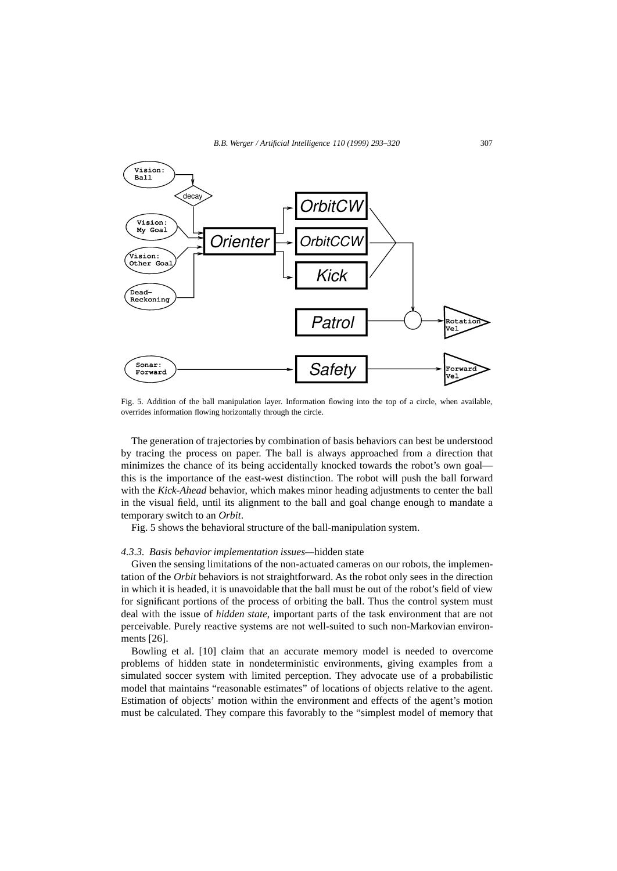

Fig. 5. Addition of the ball manipulation layer. Information flowing into the top of a circle, when available, overrides information flowing horizontally through the circle.

The generation of trajectories by combination of basis behaviors can best be understood by tracing the process on paper. The ball is always approached from a direction that minimizes the chance of its being accidentally knocked towards the robot's own goal this is the importance of the east-west distinction. The robot will push the ball forward with the *Kick-Ahead* behavior, which makes minor heading adjustments to center the ball in the visual field, until its alignment to the ball and goal change enough to mandate a temporary switch to an *Orbit*.

Fig. 5 shows the behavioral structure of the ball-manipulation system.

#### *4.3.3. Basis behavior implementation issues—*hidden state

Given the sensing limitations of the non-actuated cameras on our robots, the implementation of the *Orbit* behaviors is not straightforward. As the robot only sees in the direction in which it is headed, it is unavoidable that the ball must be out of the robot's field of view for significant portions of the process of orbiting the ball. Thus the control system must deal with the issue of *hidden state*, important parts of the task environment that are not perceivable. Purely reactive systems are not well-suited to such non-Markovian environments [26].

Bowling et al. [10] claim that an accurate memory model is needed to overcome problems of hidden state in nondeterministic environments, giving examples from a simulated soccer system with limited perception. They advocate use of a probabilistic model that maintains "reasonable estimates" of locations of objects relative to the agent. Estimation of objects' motion within the environment and effects of the agent's motion must be calculated. They compare this favorably to the "simplest model of memory that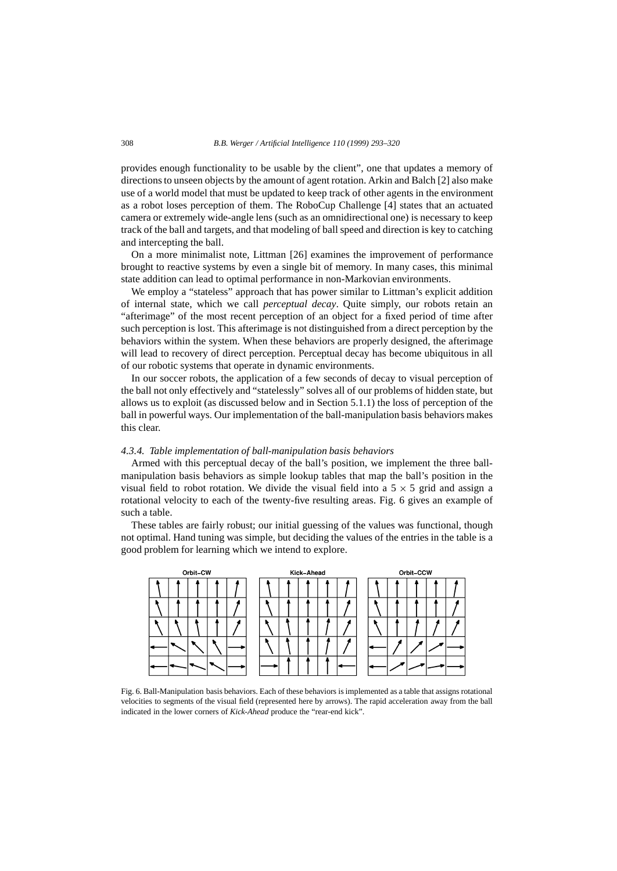provides enough functionality to be usable by the client", one that updates a memory of directions to unseen objects by the amount of agent rotation. Arkin and Balch [2] also make use of a world model that must be updated to keep track of other agents in the environment as a robot loses perception of them. The RoboCup Challenge [4] states that an actuated camera or extremely wide-angle lens (such as an omnidirectional one) is necessary to keep track of the ball and targets, and that modeling of ball speed and direction is key to catching and intercepting the ball.

On a more minimalist note, Littman [26] examines the improvement of performance brought to reactive systems by even a single bit of memory. In many cases, this minimal state addition can lead to optimal performance in non-Markovian environments.

We employ a "stateless" approach that has power similar to Littman's explicit addition of internal state, which we call *perceptual decay*. Quite simply, our robots retain an "afterimage" of the most recent perception of an object for a fixed period of time after such perception is lost. This afterimage is not distinguished from a direct perception by the behaviors within the system. When these behaviors are properly designed, the afterimage will lead to recovery of direct perception. Perceptual decay has become ubiquitous in all of our robotic systems that operate in dynamic environments.

In our soccer robots, the application of a few seconds of decay to visual perception of the ball not only effectively and "statelessly" solves all of our problems of hidden state, but allows us to exploit (as discussed below and in Section 5.1.1) the loss of perception of the ball in powerful ways. Our implementation of the ball-manipulation basis behaviors makes this clear.

## *4.3.4. Table implementation of ball-manipulation basis behaviors*

Armed with this perceptual decay of the ball's position, we implement the three ballmanipulation basis behaviors as simple lookup tables that map the ball's position in the visual field to robot rotation. We divide the visual field into a  $5 \times 5$  grid and assign a rotational velocity to each of the twenty-five resulting areas. Fig. 6 gives an example of such a table.

These tables are fairly robust; our initial guessing of the values was functional, though not optimal. Hand tuning was simple, but deciding the values of the entries in the table is a good problem for learning which we intend to explore.



Fig. 6. Ball-Manipulation basis behaviors. Each of these behaviors is implemented as a table that assigns rotational velocities to segments of the visual field (represented here by arrows). The rapid acceleration away from the ball indicated in the lower corners of *Kick-Ahead* produce the "rear-end kick".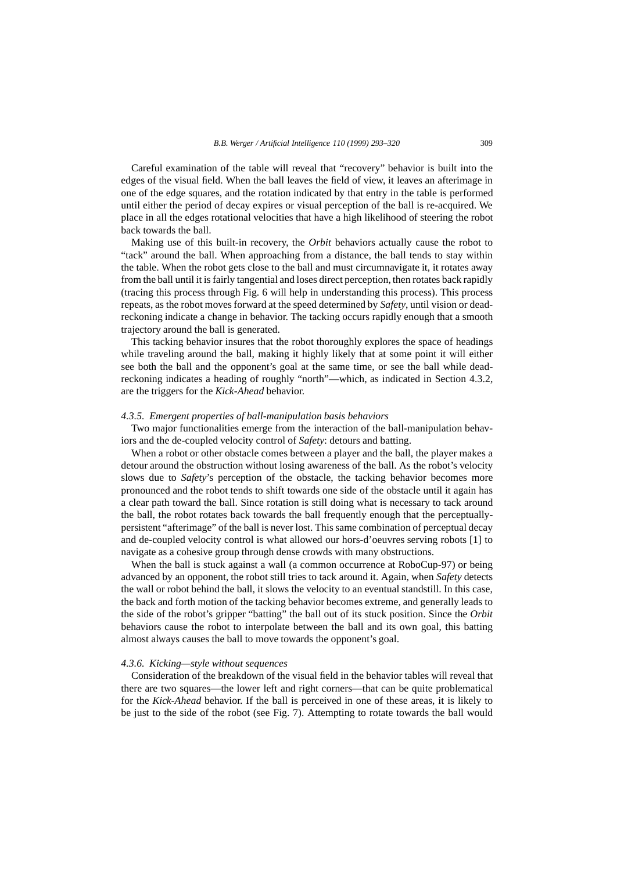Careful examination of the table will reveal that "recovery" behavior is built into the edges of the visual field. When the ball leaves the field of view, it leaves an afterimage in one of the edge squares, and the rotation indicated by that entry in the table is performed until either the period of decay expires or visual perception of the ball is re-acquired. We place in all the edges rotational velocities that have a high likelihood of steering the robot back towards the ball.

Making use of this built-in recovery, the *Orbit* behaviors actually cause the robot to "tack" around the ball. When approaching from a distance, the ball tends to stay within the table. When the robot gets close to the ball and must circumnavigate it, it rotates away from the ball until it is fairly tangential and loses direct perception, then rotates back rapidly (tracing this process through Fig. 6 will help in understanding this process). This process repeats, as the robot moves forward at the speed determined by *Safety*, until vision or deadreckoning indicate a change in behavior. The tacking occurs rapidly enough that a smooth trajectory around the ball is generated.

This tacking behavior insures that the robot thoroughly explores the space of headings while traveling around the ball, making it highly likely that at some point it will either see both the ball and the opponent's goal at the same time, or see the ball while deadreckoning indicates a heading of roughly "north"—which, as indicated in Section 4.3.2, are the triggers for the *Kick-Ahead* behavior.

## *4.3.5. Emergent properties of ball-manipulation basis behaviors*

Two major functionalities emerge from the interaction of the ball-manipulation behaviors and the de-coupled velocity control of *Safety*: detours and batting.

When a robot or other obstacle comes between a player and the ball, the player makes a detour around the obstruction without losing awareness of the ball. As the robot's velocity slows due to *Safety*'s perception of the obstacle, the tacking behavior becomes more pronounced and the robot tends to shift towards one side of the obstacle until it again has a clear path toward the ball. Since rotation is still doing what is necessary to tack around the ball, the robot rotates back towards the ball frequently enough that the perceptuallypersistent "afterimage" of the ball is never lost. This same combination of perceptual decay and de-coupled velocity control is what allowed our hors-d'oeuvres serving robots [1] to navigate as a cohesive group through dense crowds with many obstructions.

When the ball is stuck against a wall (a common occurrence at RoboCup-97) or being advanced by an opponent, the robot still tries to tack around it. Again, when *Safety* detects the wall or robot behind the ball, it slows the velocity to an eventual standstill. In this case, the back and forth motion of the tacking behavior becomes extreme, and generally leads to the side of the robot's gripper "batting" the ball out of its stuck position. Since the *Orbit* behaviors cause the robot to interpolate between the ball and its own goal, this batting almost always causes the ball to move towards the opponent's goal.

#### *4.3.6. Kicking—style without sequences*

Consideration of the breakdown of the visual field in the behavior tables will reveal that there are two squares—the lower left and right corners—that can be quite problematical for the *Kick-Ahead* behavior. If the ball is perceived in one of these areas, it is likely to be just to the side of the robot (see Fig. 7). Attempting to rotate towards the ball would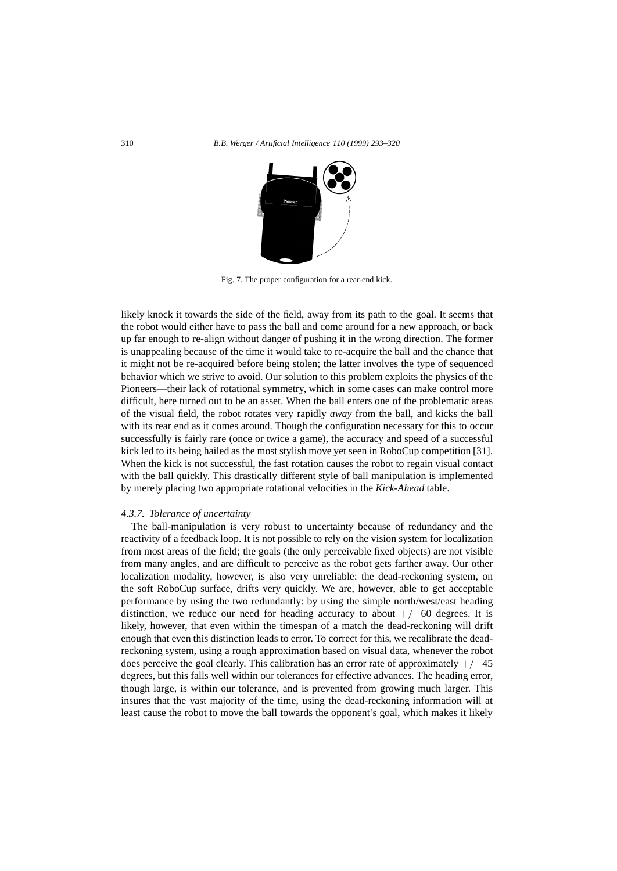

Fig. 7. The proper configuration for a rear-end kick.

likely knock it towards the side of the field, away from its path to the goal. It seems that the robot would either have to pass the ball and come around for a new approach, or back up far enough to re-align without danger of pushing it in the wrong direction. The former is unappealing because of the time it would take to re-acquire the ball and the chance that it might not be re-acquired before being stolen; the latter involves the type of sequenced behavior which we strive to avoid. Our solution to this problem exploits the physics of the Pioneers—their lack of rotational symmetry, which in some cases can make control more difficult, here turned out to be an asset. When the ball enters one of the problematic areas of the visual field, the robot rotates very rapidly *away* from the ball, and kicks the ball with its rear end as it comes around. Though the configuration necessary for this to occur successfully is fairly rare (once or twice a game), the accuracy and speed of a successful kick led to its being hailed as the most stylish move yet seen in RoboCup competition [31]. When the kick is not successful, the fast rotation causes the robot to regain visual contact with the ball quickly. This drastically different style of ball manipulation is implemented by merely placing two appropriate rotational velocities in the *Kick-Ahead* table.

## *4.3.7. Tolerance of uncertainty*

The ball-manipulation is very robust to uncertainty because of redundancy and the reactivity of a feedback loop. It is not possible to rely on the vision system for localization from most areas of the field; the goals (the only perceivable fixed objects) are not visible from many angles, and are difficult to perceive as the robot gets farther away. Our other localization modality, however, is also very unreliable: the dead-reckoning system, on the soft RoboCup surface, drifts very quickly. We are, however, able to get acceptable performance by using the two redundantly: by using the simple north/west/east heading distinction, we reduce our need for heading accuracy to about  $+/-60$  degrees. It is likely, however, that even within the timespan of a match the dead-reckoning will drift enough that even this distinction leads to error. To correct for this, we recalibrate the deadreckoning system, using a rough approximation based on visual data, whenever the robot does perceive the goal clearly. This calibration has an error rate of approximately +*/*−45 degrees, but this falls well within our tolerances for effective advances. The heading error, though large, is within our tolerance, and is prevented from growing much larger. This insures that the vast majority of the time, using the dead-reckoning information will at least cause the robot to move the ball towards the opponent's goal, which makes it likely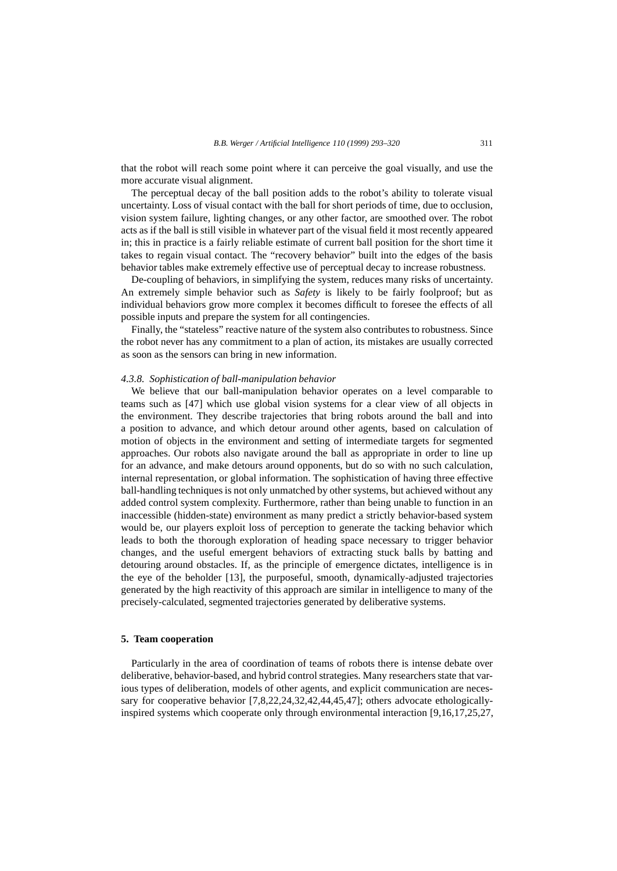that the robot will reach some point where it can perceive the goal visually, and use the more accurate visual alignment.

The perceptual decay of the ball position adds to the robot's ability to tolerate visual uncertainty. Loss of visual contact with the ball for short periods of time, due to occlusion, vision system failure, lighting changes, or any other factor, are smoothed over. The robot acts as if the ball is still visible in whatever part of the visual field it most recently appeared in; this in practice is a fairly reliable estimate of current ball position for the short time it takes to regain visual contact. The "recovery behavior" built into the edges of the basis behavior tables make extremely effective use of perceptual decay to increase robustness.

De-coupling of behaviors, in simplifying the system, reduces many risks of uncertainty. An extremely simple behavior such as *Safety* is likely to be fairly foolproof; but as individual behaviors grow more complex it becomes difficult to foresee the effects of all possible inputs and prepare the system for all contingencies.

Finally, the "stateless" reactive nature of the system also contributes to robustness. Since the robot never has any commitment to a plan of action, its mistakes are usually corrected as soon as the sensors can bring in new information.

## *4.3.8. Sophistication of ball-manipulation behavior*

We believe that our ball-manipulation behavior operates on a level comparable to teams such as [47] which use global vision systems for a clear view of all objects in the environment. They describe trajectories that bring robots around the ball and into a position to advance, and which detour around other agents, based on calculation of motion of objects in the environment and setting of intermediate targets for segmented approaches. Our robots also navigate around the ball as appropriate in order to line up for an advance, and make detours around opponents, but do so with no such calculation, internal representation, or global information. The sophistication of having three effective ball-handling techniques is not only unmatched by other systems, but achieved without any added control system complexity. Furthermore, rather than being unable to function in an inaccessible (hidden-state) environment as many predict a strictly behavior-based system would be, our players exploit loss of perception to generate the tacking behavior which leads to both the thorough exploration of heading space necessary to trigger behavior changes, and the useful emergent behaviors of extracting stuck balls by batting and detouring around obstacles. If, as the principle of emergence dictates, intelligence is in the eye of the beholder [13], the purposeful, smooth, dynamically-adjusted trajectories generated by the high reactivity of this approach are similar in intelligence to many of the precisely-calculated, segmented trajectories generated by deliberative systems.

## **5. Team cooperation**

Particularly in the area of coordination of teams of robots there is intense debate over deliberative, behavior-based, and hybrid control strategies. Many researchers state that various types of deliberation, models of other agents, and explicit communication are necessary for cooperative behavior [7,8,22,24,32,42,44,45,47]; others advocate ethologicallyinspired systems which cooperate only through environmental interaction [9,16,17,25,27,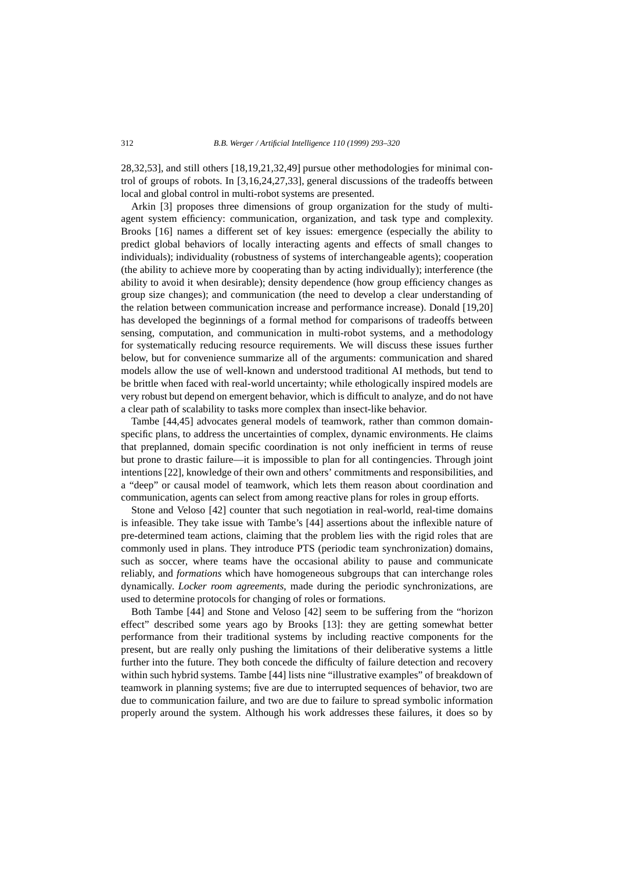28,32,53], and still others [18,19,21,32,49] pursue other methodologies for minimal control of groups of robots. In [3,16,24,27,33], general discussions of the tradeoffs between local and global control in multi-robot systems are presented.

Arkin [3] proposes three dimensions of group organization for the study of multiagent system efficiency: communication, organization, and task type and complexity. Brooks [16] names a different set of key issues: emergence (especially the ability to predict global behaviors of locally interacting agents and effects of small changes to individuals); individuality (robustness of systems of interchangeable agents); cooperation (the ability to achieve more by cooperating than by acting individually); interference (the ability to avoid it when desirable); density dependence (how group efficiency changes as group size changes); and communication (the need to develop a clear understanding of the relation between communication increase and performance increase). Donald [19,20] has developed the beginnings of a formal method for comparisons of tradeoffs between sensing, computation, and communication in multi-robot systems, and a methodology for systematically reducing resource requirements. We will discuss these issues further below, but for convenience summarize all of the arguments: communication and shared models allow the use of well-known and understood traditional AI methods, but tend to be brittle when faced with real-world uncertainty; while ethologically inspired models are very robust but depend on emergent behavior, which is difficult to analyze, and do not have a clear path of scalability to tasks more complex than insect-like behavior.

Tambe [44,45] advocates general models of teamwork, rather than common domainspecific plans, to address the uncertainties of complex, dynamic environments. He claims that preplanned, domain specific coordination is not only inefficient in terms of reuse but prone to drastic failure—it is impossible to plan for all contingencies. Through joint intentions [22], knowledge of their own and others' commitments and responsibilities, and a "deep" or causal model of teamwork, which lets them reason about coordination and communication, agents can select from among reactive plans for roles in group efforts.

Stone and Veloso [42] counter that such negotiation in real-world, real-time domains is infeasible. They take issue with Tambe's [44] assertions about the inflexible nature of pre-determined team actions, claiming that the problem lies with the rigid roles that are commonly used in plans. They introduce PTS (periodic team synchronization) domains, such as soccer, where teams have the occasional ability to pause and communicate reliably, and *formations* which have homogeneous subgroups that can interchange roles dynamically. *Locker room agreements*, made during the periodic synchronizations, are used to determine protocols for changing of roles or formations.

Both Tambe [44] and Stone and Veloso [42] seem to be suffering from the "horizon effect" described some years ago by Brooks [13]: they are getting somewhat better performance from their traditional systems by including reactive components for the present, but are really only pushing the limitations of their deliberative systems a little further into the future. They both concede the difficulty of failure detection and recovery within such hybrid systems. Tambe [44] lists nine "illustrative examples" of breakdown of teamwork in planning systems; five are due to interrupted sequences of behavior, two are due to communication failure, and two are due to failure to spread symbolic information properly around the system. Although his work addresses these failures, it does so by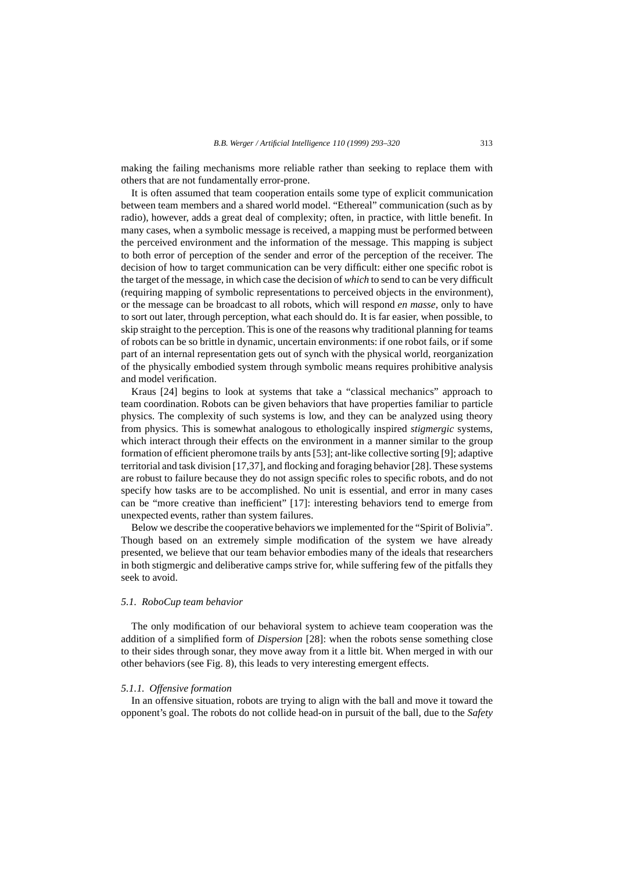making the failing mechanisms more reliable rather than seeking to replace them with others that are not fundamentally error-prone.

It is often assumed that team cooperation entails some type of explicit communication between team members and a shared world model. "Ethereal" communication (such as by radio), however, adds a great deal of complexity; often, in practice, with little benefit. In many cases, when a symbolic message is received, a mapping must be performed between the perceived environment and the information of the message. This mapping is subject to both error of perception of the sender and error of the perception of the receiver. The decision of how to target communication can be very difficult: either one specific robot is the target of the message, in which case the decision of *which* to send to can be very difficult (requiring mapping of symbolic representations to perceived objects in the environment), or the message can be broadcast to all robots, which will respond *en masse*, only to have to sort out later, through perception, what each should do. It is far easier, when possible, to skip straight to the perception. This is one of the reasons why traditional planning for teams of robots can be so brittle in dynamic, uncertain environments: if one robot fails, or if some part of an internal representation gets out of synch with the physical world, reorganization of the physically embodied system through symbolic means requires prohibitive analysis and model verification.

Kraus [24] begins to look at systems that take a "classical mechanics" approach to team coordination. Robots can be given behaviors that have properties familiar to particle physics. The complexity of such systems is low, and they can be analyzed using theory from physics. This is somewhat analogous to ethologically inspired *stigmergic* systems, which interact through their effects on the environment in a manner similar to the group formation of efficient pheromone trails by ants [53]; ant-like collective sorting [9]; adaptive territorial and task division [17,37], and flocking and foraging behavior [28]. These systems are robust to failure because they do not assign specific roles to specific robots, and do not specify how tasks are to be accomplished. No unit is essential, and error in many cases can be "more creative than inefficient" [17]: interesting behaviors tend to emerge from unexpected events, rather than system failures.

Below we describe the cooperative behaviors we implemented for the "Spirit of Bolivia". Though based on an extremely simple modification of the system we have already presented, we believe that our team behavior embodies many of the ideals that researchers in both stigmergic and deliberative camps strive for, while suffering few of the pitfalls they seek to avoid.

## *5.1. RoboCup team behavior*

The only modification of our behavioral system to achieve team cooperation was the addition of a simplified form of *Dispersion* [28]: when the robots sense something close to their sides through sonar, they move away from it a little bit. When merged in with our other behaviors (see Fig. 8), this leads to very interesting emergent effects.

#### *5.1.1. Offensive formation*

In an offensive situation, robots are trying to align with the ball and move it toward the opponent's goal. The robots do not collide head-on in pursuit of the ball, due to the *Safety*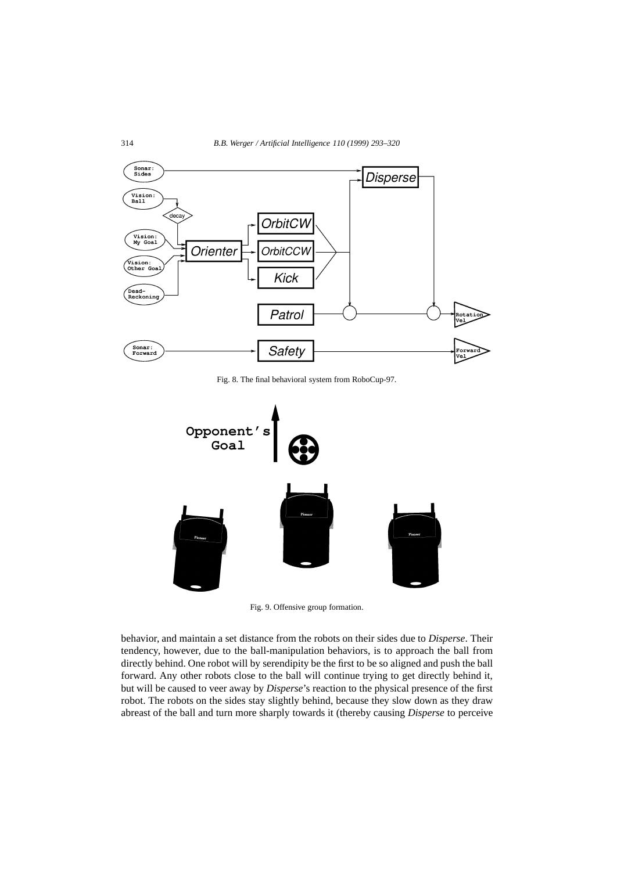

Fig. 8. The final behavioral system from RoboCup-97.



Fig. 9. Offensive group formation.

behavior, and maintain a set distance from the robots on their sides due to *Disperse*. Their tendency, however, due to the ball-manipulation behaviors, is to approach the ball from directly behind. One robot will by serendipity be the first to be so aligned and push the ball forward. Any other robots close to the ball will continue trying to get directly behind it, but will be caused to veer away by *Disperse*'s reaction to the physical presence of the first robot. The robots on the sides stay slightly behind, because they slow down as they draw abreast of the ball and turn more sharply towards it (thereby causing *Disperse* to perceive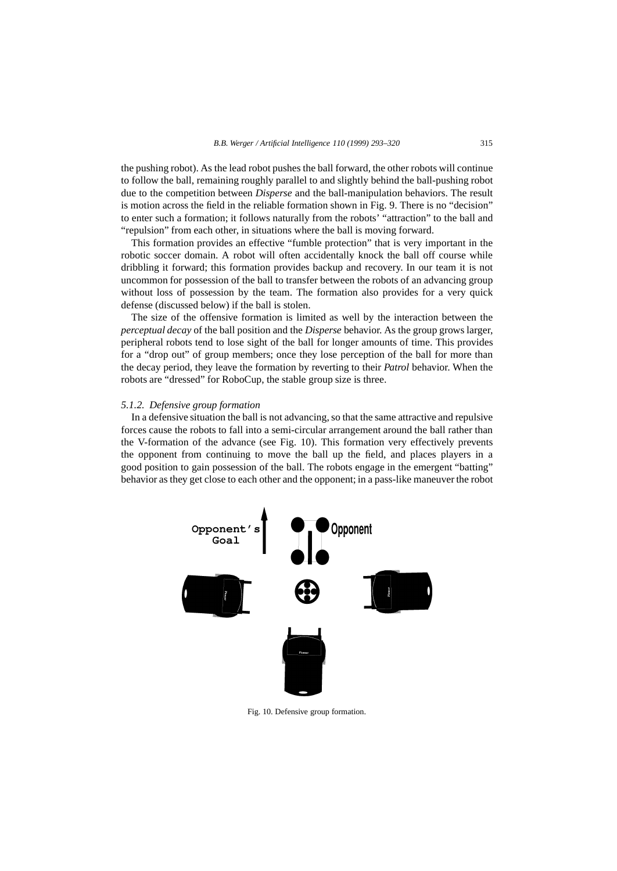the pushing robot). As the lead robot pushes the ball forward, the other robots will continue to follow the ball, remaining roughly parallel to and slightly behind the ball-pushing robot due to the competition between *Disperse* and the ball-manipulation behaviors. The result is motion across the field in the reliable formation shown in Fig. 9. There is no "decision" to enter such a formation; it follows naturally from the robots' "attraction" to the ball and "repulsion" from each other, in situations where the ball is moving forward.

This formation provides an effective "fumble protection" that is very important in the robotic soccer domain. A robot will often accidentally knock the ball off course while dribbling it forward; this formation provides backup and recovery. In our team it is not uncommon for possession of the ball to transfer between the robots of an advancing group without loss of possession by the team. The formation also provides for a very quick defense (discussed below) if the ball is stolen.

The size of the offensive formation is limited as well by the interaction between the *perceptual decay* of the ball position and the *Disperse* behavior. As the group grows larger, peripheral robots tend to lose sight of the ball for longer amounts of time. This provides for a "drop out" of group members; once they lose perception of the ball for more than the decay period, they leave the formation by reverting to their *Patrol* behavior. When the robots are "dressed" for RoboCup, the stable group size is three.

#### *5.1.2. Defensive group formation*

In a defensive situation the ball is not advancing, so that the same attractive and repulsive forces cause the robots to fall into a semi-circular arrangement around the ball rather than the V-formation of the advance (see Fig. 10). This formation very effectively prevents the opponent from continuing to move the ball up the field, and places players in a good position to gain possession of the ball. The robots engage in the emergent "batting" behavior as they get close to each other and the opponent; in a pass-like maneuver the robot



Fig. 10. Defensive group formation.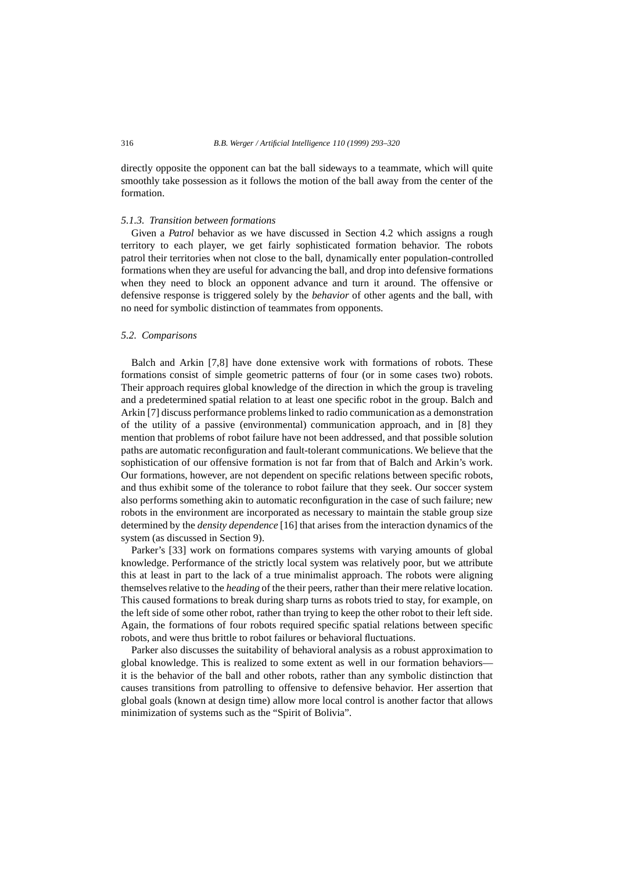directly opposite the opponent can bat the ball sideways to a teammate, which will quite smoothly take possession as it follows the motion of the ball away from the center of the formation.

## *5.1.3. Transition between formations*

Given a *Patrol* behavior as we have discussed in Section 4.2 which assigns a rough territory to each player, we get fairly sophisticated formation behavior. The robots patrol their territories when not close to the ball, dynamically enter population-controlled formations when they are useful for advancing the ball, and drop into defensive formations when they need to block an opponent advance and turn it around. The offensive or defensive response is triggered solely by the *behavior* of other agents and the ball, with no need for symbolic distinction of teammates from opponents.

## *5.2. Comparisons*

Balch and Arkin [7,8] have done extensive work with formations of robots. These formations consist of simple geometric patterns of four (or in some cases two) robots. Their approach requires global knowledge of the direction in which the group is traveling and a predetermined spatial relation to at least one specific robot in the group. Balch and Arkin [7] discuss performance problems linked to radio communication as a demonstration of the utility of a passive (environmental) communication approach, and in [8] they mention that problems of robot failure have not been addressed, and that possible solution paths are automatic reconfiguration and fault-tolerant communications. We believe that the sophistication of our offensive formation is not far from that of Balch and Arkin's work. Our formations, however, are not dependent on specific relations between specific robots, and thus exhibit some of the tolerance to robot failure that they seek. Our soccer system also performs something akin to automatic reconfiguration in the case of such failure; new robots in the environment are incorporated as necessary to maintain the stable group size determined by the *density dependence* [16] that arises from the interaction dynamics of the system (as discussed in Section 9).

Parker's [33] work on formations compares systems with varying amounts of global knowledge. Performance of the strictly local system was relatively poor, but we attribute this at least in part to the lack of a true minimalist approach. The robots were aligning themselves relative to the *heading* of the their peers, rather than their mere relative location. This caused formations to break during sharp turns as robots tried to stay, for example, on the left side of some other robot, rather than trying to keep the other robot to their left side. Again, the formations of four robots required specific spatial relations between specific robots, and were thus brittle to robot failures or behavioral fluctuations.

Parker also discusses the suitability of behavioral analysis as a robust approximation to global knowledge. This is realized to some extent as well in our formation behaviors it is the behavior of the ball and other robots, rather than any symbolic distinction that causes transitions from patrolling to offensive to defensive behavior. Her assertion that global goals (known at design time) allow more local control is another factor that allows minimization of systems such as the "Spirit of Bolivia".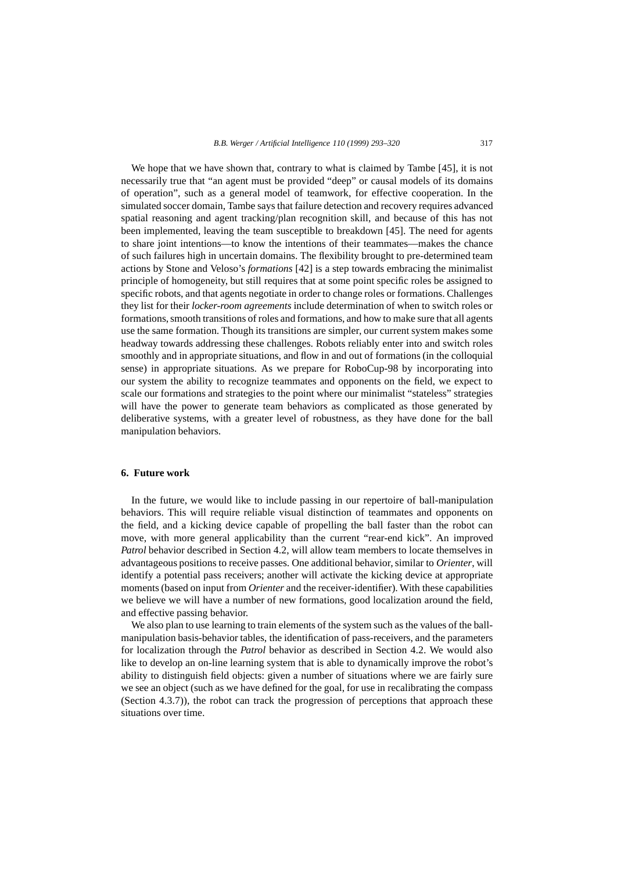We hope that we have shown that, contrary to what is claimed by Tambe [45], it is not necessarily true that "an agent must be provided "deep" or causal models of its domains of operation", such as a general model of teamwork, for effective cooperation. In the simulated soccer domain, Tambe says that failure detection and recovery requires advanced spatial reasoning and agent tracking/plan recognition skill, and because of this has not been implemented, leaving the team susceptible to breakdown [45]. The need for agents to share joint intentions—to know the intentions of their teammates—makes the chance of such failures high in uncertain domains. The flexibility brought to pre-determined team actions by Stone and Veloso's *formations* [42] is a step towards embracing the minimalist principle of homogeneity, but still requires that at some point specific roles be assigned to specific robots, and that agents negotiate in order to change roles or formations. Challenges they list for their *locker-room agreements* include determination of when to switch roles or formations, smooth transitions of roles and formations, and how to make sure that all agents use the same formation. Though its transitions are simpler, our current system makes some headway towards addressing these challenges. Robots reliably enter into and switch roles smoothly and in appropriate situations, and flow in and out of formations (in the colloquial sense) in appropriate situations. As we prepare for RoboCup-98 by incorporating into our system the ability to recognize teammates and opponents on the field, we expect to scale our formations and strategies to the point where our minimalist "stateless" strategies will have the power to generate team behaviors as complicated as those generated by deliberative systems, with a greater level of robustness, as they have done for the ball manipulation behaviors.

## **6. Future work**

In the future, we would like to include passing in our repertoire of ball-manipulation behaviors. This will require reliable visual distinction of teammates and opponents on the field, and a kicking device capable of propelling the ball faster than the robot can move, with more general applicability than the current "rear-end kick". An improved *Patrol* behavior described in Section 4.2, will allow team members to locate themselves in advantageous positions to receive passes. One additional behavior, similar to *Orienter*, will identify a potential pass receivers; another will activate the kicking device at appropriate moments (based on input from *Orienter* and the receiver-identifier). With these capabilities we believe we will have a number of new formations, good localization around the field, and effective passing behavior.

We also plan to use learning to train elements of the system such as the values of the ballmanipulation basis-behavior tables, the identification of pass-receivers, and the parameters for localization through the *Patrol* behavior as described in Section 4.2. We would also like to develop an on-line learning system that is able to dynamically improve the robot's ability to distinguish field objects: given a number of situations where we are fairly sure we see an object (such as we have defined for the goal, for use in recalibrating the compass (Section 4.3.7)), the robot can track the progression of perceptions that approach these situations over time.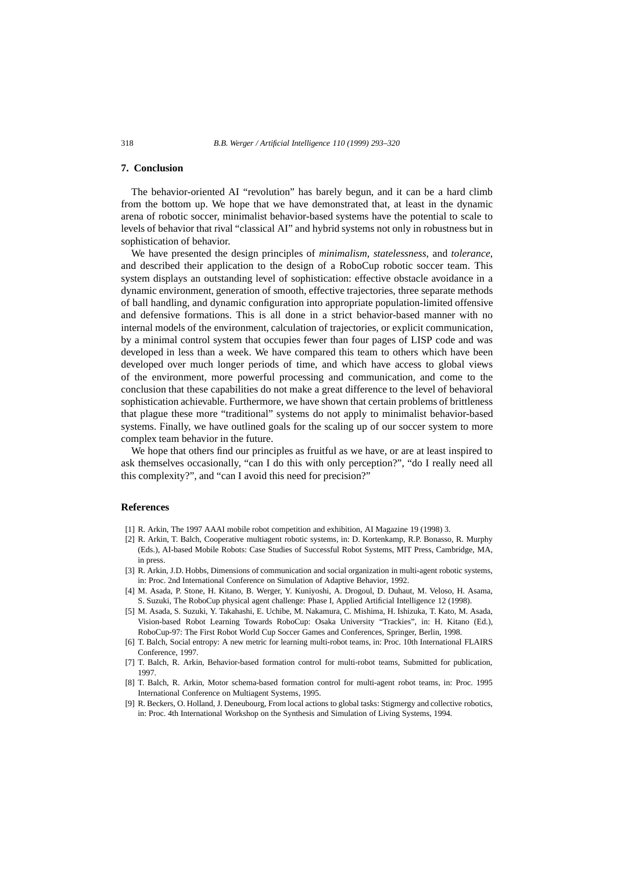## **7. Conclusion**

The behavior-oriented AI "revolution" has barely begun, and it can be a hard climb from the bottom up. We hope that we have demonstrated that, at least in the dynamic arena of robotic soccer, minimalist behavior-based systems have the potential to scale to levels of behavior that rival "classical AI" and hybrid systems not only in robustness but in sophistication of behavior.

We have presented the design principles of *minimalism, statelessness,* and *tolerance*, and described their application to the design of a RoboCup robotic soccer team. This system displays an outstanding level of sophistication: effective obstacle avoidance in a dynamic environment, generation of smooth, effective trajectories, three separate methods of ball handling, and dynamic configuration into appropriate population-limited offensive and defensive formations. This is all done in a strict behavior-based manner with no internal models of the environment, calculation of trajectories, or explicit communication, by a minimal control system that occupies fewer than four pages of LISP code and was developed in less than a week. We have compared this team to others which have been developed over much longer periods of time, and which have access to global views of the environment, more powerful processing and communication, and come to the conclusion that these capabilities do not make a great difference to the level of behavioral sophistication achievable. Furthermore, we have shown that certain problems of brittleness that plague these more "traditional" systems do not apply to minimalist behavior-based systems. Finally, we have outlined goals for the scaling up of our soccer system to more complex team behavior in the future.

We hope that others find our principles as fruitful as we have, or are at least inspired to ask themselves occasionally, "can I do this with only perception?", "do I really need all this complexity?", and "can I avoid this need for precision?"

## **References**

- [1] R. Arkin, The 1997 AAAI mobile robot competition and exhibition, AI Magazine 19 (1998) 3.
- [2] R. Arkin, T. Balch, Cooperative multiagent robotic systems, in: D. Kortenkamp, R.P. Bonasso, R. Murphy (Eds.), AI-based Mobile Robots: Case Studies of Successful Robot Systems, MIT Press, Cambridge, MA, in press.
- [3] R. Arkin, J.D. Hobbs, Dimensions of communication and social organization in multi-agent robotic systems, in: Proc. 2nd International Conference on Simulation of Adaptive Behavior, 1992.
- [4] M. Asada, P. Stone, H. Kitano, B. Werger, Y. Kuniyoshi, A. Drogoul, D. Duhaut, M. Veloso, H. Asama, S. Suzuki, The RoboCup physical agent challenge: Phase I, Applied Artificial Intelligence 12 (1998).
- [5] M. Asada, S. Suzuki, Y. Takahashi, E. Uchibe, M. Nakamura, C. Mishima, H. Ishizuka, T. Kato, M. Asada, Vision-based Robot Learning Towards RoboCup: Osaka University "Trackies", in: H. Kitano (Ed.), RoboCup-97: The First Robot World Cup Soccer Games and Conferences, Springer, Berlin, 1998.
- [6] T. Balch, Social entropy: A new metric for learning multi-robot teams, in: Proc. 10th International FLAIRS Conference, 1997.
- [7] T. Balch, R. Arkin, Behavior-based formation control for multi-robot teams, Submitted for publication, 1997.
- [8] T. Balch, R. Arkin, Motor schema-based formation control for multi-agent robot teams, in: Proc. 1995 International Conference on Multiagent Systems, 1995.
- [9] R. Beckers, O. Holland, J. Deneubourg, From local actions to global tasks: Stigmergy and collective robotics, in: Proc. 4th International Workshop on the Synthesis and Simulation of Living Systems, 1994.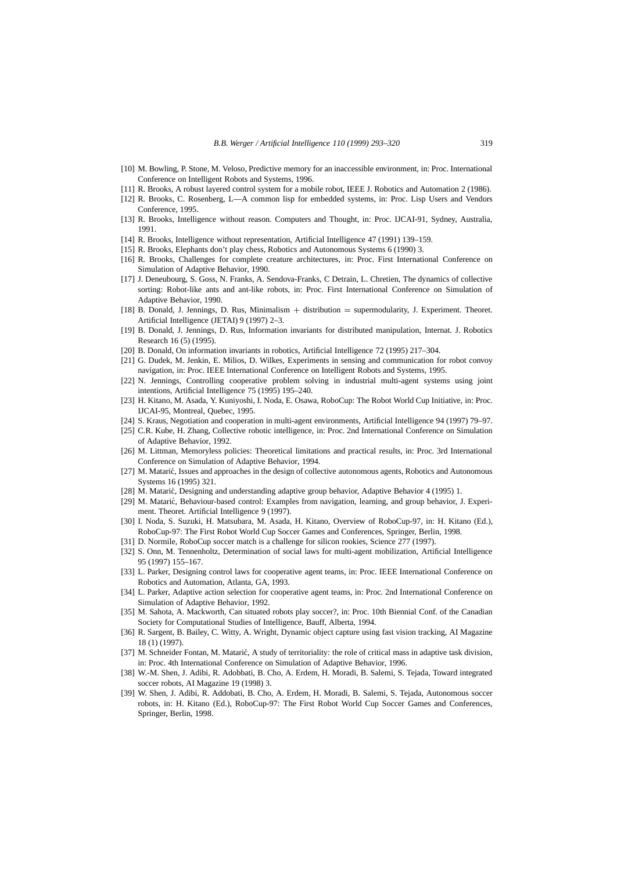- [10] M. Bowling, P. Stone, M. Veloso, Predictive memory for an inaccessible environment, in: Proc. International Conference on Intelligent Robots and Systems, 1996.
- [11] R. Brooks, A robust layered control system for a mobile robot, IEEE J. Robotics and Automation 2 (1986).
- [12] R. Brooks, C. Rosenberg, L—A common lisp for embedded systems, in: Proc. Lisp Users and Vendors Conference, 1995.
- [13] R. Brooks, Intelligence without reason. Computers and Thought, in: Proc. IJCAI-91, Sydney, Australia, 1991.
- [14] R. Brooks, Intelligence without representation, Artificial Intelligence 47 (1991) 139–159.
- [15] R. Brooks, Elephants don't play chess, Robotics and Autonomous Systems 6 (1990) 3.
- [16] R. Brooks, Challenges for complete creature architectures, in: Proc. First International Conference on Simulation of Adaptive Behavior, 1990.
- [17] J. Deneubourg, S. Goss, N. Franks, A. Sendova-Franks, C Detrain, L. Chretien, The dynamics of collective sorting: Robot-like ants and ant-like robots, in: Proc. First International Conference on Simulation of Adaptive Behavior, 1990.
- [18] B. Donald, J. Jennings, D. Rus, Minimalism + distribution = supermodularity, J. Experiment. Theoret. Artificial Intelligence (JETAI) 9 (1997) 2–3.
- [19] B. Donald, J. Jennings, D. Rus, Information invariants for distributed manipulation, Internat. J. Robotics Research 16 (5) (1995).
- [20] B. Donald, On information invariants in robotics, Artificial Intelligence 72 (1995) 217–304.
- [21] G. Dudek, M. Jenkin, E. Milios, D. Wilkes, Experiments in sensing and communication for robot convoy navigation, in: Proc. IEEE International Conference on Intelligent Robots and Systems, 1995.
- [22] N. Jennings, Controlling cooperative problem solving in industrial multi-agent systems using joint intentions, Artificial Intelligence 75 (1995) 195–240.
- [23] H. Kitano, M. Asada, Y. Kuniyoshi, I. Noda, E. Osawa, RoboCup: The Robot World Cup Initiative, in: Proc. IJCAI-95, Montreal, Quebec, 1995.
- [24] S. Kraus, Negotiation and cooperation in multi-agent environments, Artificial Intelligence 94 (1997) 79–97.
- [25] C.R. Kube, H. Zhang, Collective robotic intelligence, in: Proc. 2nd International Conference on Simulation of Adaptive Behavior, 1992.
- [26] M. Littman, Memoryless policies: Theoretical limitations and practical results, in: Proc. 3rd International Conference on Simulation of Adaptive Behavior, 1994.
- [27] M. Mataric, Issues and approaches in the design of collective autonomous agents, Robotics and Autonomous ´ Systems 16 (1995) 321.
- [28] M. Mataric, Designing and understanding adaptive group behavior, Adaptive Behavior 4 (1995) 1. ´
- [29] M. Matarić, Behaviour-based control: Examples from navigation, learning, and group behavior, J. Experiment. Theoret. Artificial Intelligence 9 (1997).
- [30] I. Noda, S. Suzuki, H. Matsubara, M. Asada, H. Kitano, Overview of RoboCup-97, in: H. Kitano (Ed.), RoboCup-97: The First Robot World Cup Soccer Games and Conferences, Springer, Berlin, 1998.
- [31] D. Normile, RoboCup soccer match is a challenge for silicon rookies, Science 277 (1997).
- [32] S. Onn, M. Tennenholtz, Determination of social laws for multi-agent mobilization, Artificial Intelligence 95 (1997) 155–167.
- [33] L. Parker, Designing control laws for cooperative agent teams, in: Proc. IEEE International Conference on Robotics and Automation, Atlanta, GA, 1993.
- [34] L. Parker, Adaptive action selection for cooperative agent teams, in: Proc. 2nd International Conference on Simulation of Adaptive Behavior, 1992.
- [35] M. Sahota, A. Mackworth, Can situated robots play soccer?, in: Proc. 10th Biennial Conf. of the Canadian Society for Computational Studies of Intelligence, Bauff, Alberta, 1994.
- [36] R. Sargent, B. Bailey, C. Witty, A. Wright, Dynamic object capture using fast vision tracking, AI Magazine 18 (1) (1997).
- [37] M. Schneider Fontan, M. Matarić, A study of territoriality: the role of critical mass in adaptive task division, in: Proc. 4th International Conference on Simulation of Adaptive Behavior, 1996.
- [38] W.-M. Shen, J. Adibi, R. Adobbati, B. Cho, A. Erdem, H. Moradi, B. Salemi, S. Tejada, Toward integrated soccer robots, AI Magazine 19 (1998) 3.
- [39] W. Shen, J. Adibi, R. Addobati, B. Cho, A. Erdem, H. Moradi, B. Salemi, S. Tejada, Autonomous soccer robots, in: H. Kitano (Ed.), RoboCup-97: The First Robot World Cup Soccer Games and Conferences, Springer, Berlin, 1998.